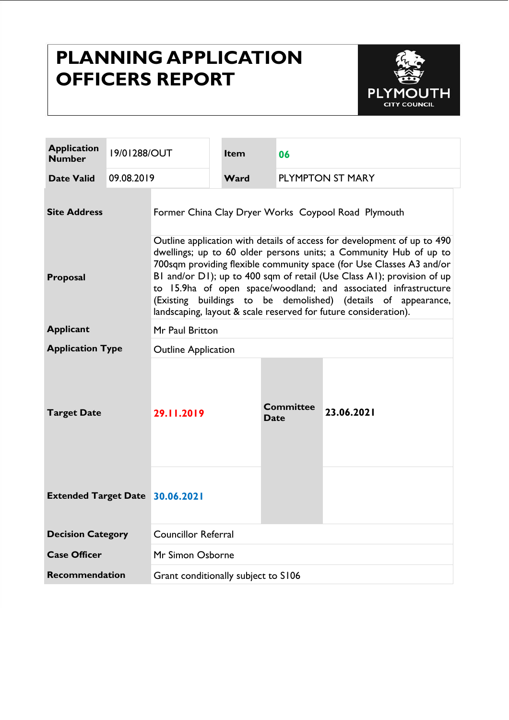# **PLANNING APPLICATION OFFICERS REPORT**



| <b>Application</b><br><b>Number</b>    | 19/01288/OUT |                                                                                                                                                                                                                                                                                                                                                                                                                                                                                                       | Item                            | 06                              |            |
|----------------------------------------|--------------|-------------------------------------------------------------------------------------------------------------------------------------------------------------------------------------------------------------------------------------------------------------------------------------------------------------------------------------------------------------------------------------------------------------------------------------------------------------------------------------------------------|---------------------------------|---------------------------------|------------|
| <b>Date Valid</b>                      | 09.08.2019   |                                                                                                                                                                                                                                                                                                                                                                                                                                                                                                       | <b>PLYMPTON ST MARY</b><br>Ward |                                 |            |
| <b>Site Address</b>                    |              | Former China Clay Dryer Works Coypool Road Plymouth                                                                                                                                                                                                                                                                                                                                                                                                                                                   |                                 |                                 |            |
| Proposal                               |              | Outline application with details of access for development of up to 490<br>dwellings; up to 60 older persons units; a Community Hub of up to<br>700sqm providing flexible community space (for Use Classes A3 and/or<br>BI and/or DI); up to 400 sqm of retail (Use Class AI); provision of up<br>to 15.9ha of open space/woodland; and associated infrastructure<br>(Existing buildings to be demolished) (details of appearance,<br>landscaping, layout & scale reserved for future consideration). |                                 |                                 |            |
| <b>Applicant</b>                       |              | Mr Paul Britton                                                                                                                                                                                                                                                                                                                                                                                                                                                                                       |                                 |                                 |            |
| <b>Application Type</b>                |              | <b>Outline Application</b>                                                                                                                                                                                                                                                                                                                                                                                                                                                                            |                                 |                                 |            |
| <b>Target Date</b>                     |              | 29.11.2019                                                                                                                                                                                                                                                                                                                                                                                                                                                                                            |                                 | <b>Committee</b><br><b>Date</b> | 23.06.2021 |
| <b>Extended Target Date 30.06.2021</b> |              |                                                                                                                                                                                                                                                                                                                                                                                                                                                                                                       |                                 |                                 |            |
| <b>Decision Category</b>               |              | <b>Councillor Referral</b>                                                                                                                                                                                                                                                                                                                                                                                                                                                                            |                                 |                                 |            |
| <b>Case Officer</b>                    |              | Mr Simon Osborne                                                                                                                                                                                                                                                                                                                                                                                                                                                                                      |                                 |                                 |            |
| <b>Recommendation</b>                  |              | Grant conditionally subject to S106                                                                                                                                                                                                                                                                                                                                                                                                                                                                   |                                 |                                 |            |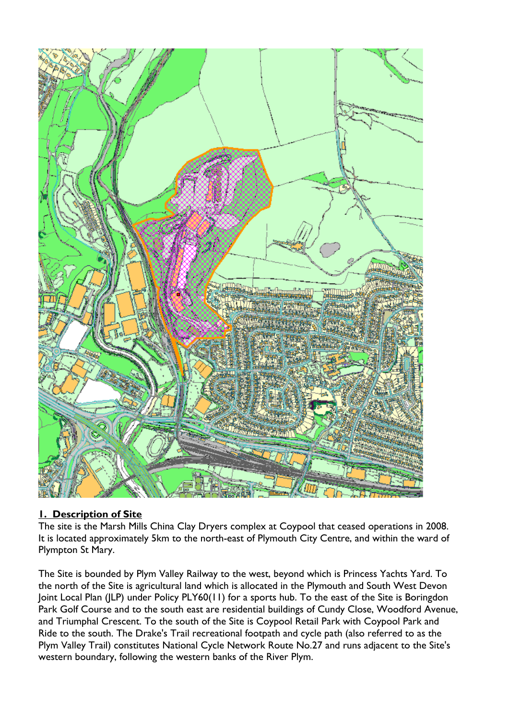

## **1. Description of Site**

The site is the Marsh Mills China Clay Dryers complex at Coypool that ceased operations in 2008. It is located approximately 5km to the north-east of Plymouth City Centre, and within the ward of Plympton St Mary.

The Site is bounded by Plym Valley Railway to the west, beyond which is Princess Yachts Yard. To the north of the Site is agricultural land which is allocated in the Plymouth and South West Devon Joint Local Plan (JLP) under Policy PLY60(11) for a sports hub. To the east of the Site is Boringdon Park Golf Course and to the south east are residential buildings of Cundy Close, Woodford Avenue, and Triumphal Crescent. To the south of the Site is Coypool Retail Park with Coypool Park and Ride to the south. The Drake's Trail recreational footpath and cycle path (also referred to as the Plym Valley Trail) constitutes National Cycle Network Route No.27 and runs adjacent to the Site's western boundary, following the western banks of the River Plym.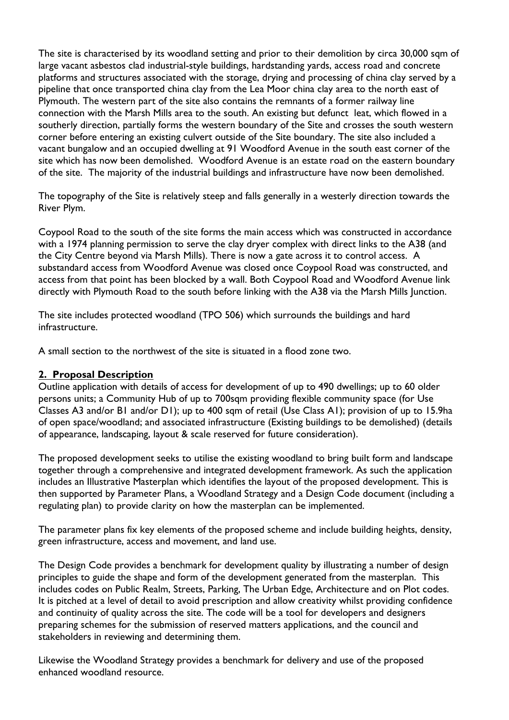The site is characterised by its woodland setting and prior to their demolition by circa 30,000 sqm of large vacant asbestos clad industrial-style buildings, hardstanding yards, access road and concrete platforms and structures associated with the storage, drying and processing of china clay served by a pipeline that once transported china clay from the Lea Moor china clay area to the north east of Plymouth. The western part of the site also contains the remnants of a former railway line connection with the Marsh Mills area to the south. An existing but defunct leat, which flowed in a southerly direction, partially forms the western boundary of the Site and crosses the south western corner before entering an existing culvert outside of the Site boundary. The site also included a vacant bungalow and an occupied dwelling at 91 Woodford Avenue in the south east corner of the site which has now been demolished. Woodford Avenue is an estate road on the eastern boundary of the site. The majority of the industrial buildings and infrastructure have now been demolished.

The topography of the Site is relatively steep and falls generally in a westerly direction towards the River Plym.

Coypool Road to the south of the site forms the main access which was constructed in accordance with a 1974 planning permission to serve the clay dryer complex with direct links to the A38 (and the City Centre beyond via Marsh Mills). There is now a gate across it to control access. A substandard access from Woodford Avenue was closed once Coypool Road was constructed, and access from that point has been blocked by a wall. Both Coypool Road and Woodford Avenue link directly with Plymouth Road to the south before linking with the A38 via the Marsh Mills Junction.

The site includes protected woodland (TPO 506) which surrounds the buildings and hard infrastructure.

A small section to the northwest of the site is situated in a flood zone two.

#### **2. Proposal Description**

Outline application with details of access for development of up to 490 dwellings; up to 60 older persons units; a Community Hub of up to 700sqm providing flexible community space (for Use Classes A3 and/or B1 and/or D1); up to 400 sqm of retail (Use Class A1); provision of up to 15.9ha of open space/woodland; and associated infrastructure (Existing buildings to be demolished) (details of appearance, landscaping, layout & scale reserved for future consideration).

The proposed development seeks to utilise the existing woodland to bring built form and landscape together through a comprehensive and integrated development framework. As such the application includes an Illustrative Masterplan which identifies the layout of the proposed development. This is then supported by Parameter Plans, a Woodland Strategy and a Design Code document (including a regulating plan) to provide clarity on how the masterplan can be implemented.

The parameter plans fix key elements of the proposed scheme and include building heights, density, green infrastructure, access and movement, and land use.

The Design Code provides a benchmark for development quality by illustrating a number of design principles to guide the shape and form of the development generated from the masterplan. This includes codes on Public Realm, Streets, Parking, The Urban Edge, Architecture and on Plot codes. It is pitched at a level of detail to avoid prescription and allow creativity whilst providing confidence and continuity of quality across the site. The code will be a tool for developers and designers preparing schemes for the submission of reserved matters applications, and the council and stakeholders in reviewing and determining them.

Likewise the Woodland Strategy provides a benchmark for delivery and use of the proposed enhanced woodland resource.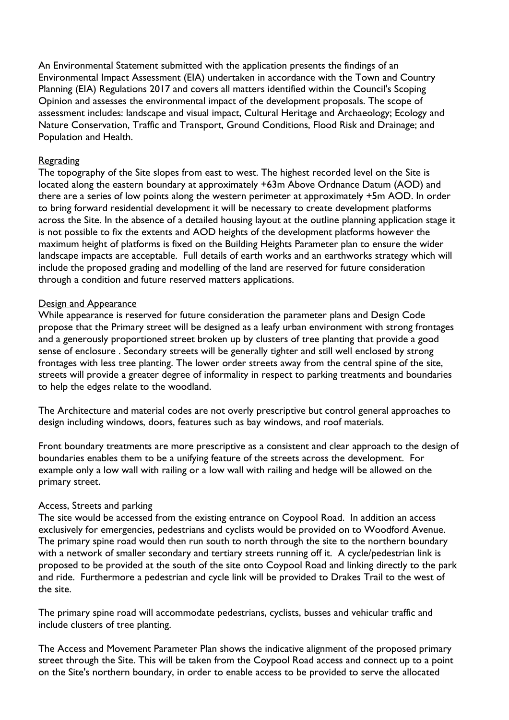An Environmental Statement submitted with the application presents the findings of an Environmental Impact Assessment (EIA) undertaken in accordance with the Town and Country Planning (EIA) Regulations 2017 and covers all matters identified within the Council's Scoping Opinion and assesses the environmental impact of the development proposals. The scope of assessment includes: landscape and visual impact, Cultural Heritage and Archaeology; Ecology and Nature Conservation, Traffic and Transport, Ground Conditions, Flood Risk and Drainage; and Population and Health.

#### Regrading

The topography of the Site slopes from east to west. The highest recorded level on the Site is located along the eastern boundary at approximately +63m Above Ordnance Datum (AOD) and there are a series of low points along the western perimeter at approximately +5m AOD. In order to bring forward residential development it will be necessary to create development platforms across the Site. In the absence of a detailed housing layout at the outline planning application stage it is not possible to fix the extents and AOD heights of the development platforms however the maximum height of platforms is fixed on the Building Heights Parameter plan to ensure the wider landscape impacts are acceptable. Full details of earth works and an earthworks strategy which will include the proposed grading and modelling of the land are reserved for future consideration through a condition and future reserved matters applications.

#### Design and Appearance

While appearance is reserved for future consideration the parameter plans and Design Code propose that the Primary street will be designed as a leafy urban environment with strong frontages and a generously proportioned street broken up by clusters of tree planting that provide a good sense of enclosure . Secondary streets will be generally tighter and still well enclosed by strong frontages with less tree planting. The lower order streets away from the central spine of the site, streets will provide a greater degree of informality in respect to parking treatments and boundaries to help the edges relate to the woodland.

The Architecture and material codes are not overly prescriptive but control general approaches to design including windows, doors, features such as bay windows, and roof materials.

Front boundary treatments are more prescriptive as a consistent and clear approach to the design of boundaries enables them to be a unifying feature of the streets across the development. For example only a low wall with railing or a low wall with railing and hedge will be allowed on the primary street.

#### Access, Streets and parking

The site would be accessed from the existing entrance on Coypool Road. In addition an access exclusively for emergencies, pedestrians and cyclists would be provided on to Woodford Avenue. The primary spine road would then run south to north through the site to the northern boundary with a network of smaller secondary and tertiary streets running off it. A cycle/pedestrian link is proposed to be provided at the south of the site onto Coypool Road and linking directly to the park and ride. Furthermore a pedestrian and cycle link will be provided to Drakes Trail to the west of the site.

The primary spine road will accommodate pedestrians, cyclists, busses and vehicular traffic and include clusters of tree planting.

The Access and Movement Parameter Plan shows the indicative alignment of the proposed primary street through the Site. This will be taken from the Coypool Road access and connect up to a point on the Site's northern boundary, in order to enable access to be provided to serve the allocated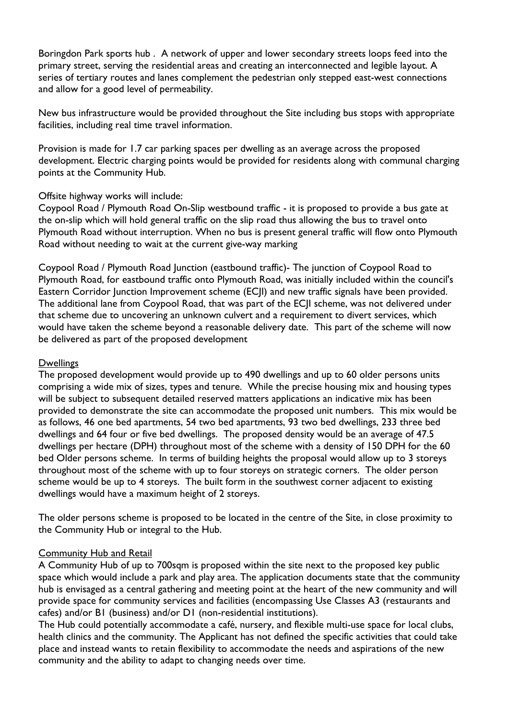Boringdon Park sports hub . A network of upper and lower secondary streets loops feed into the primary street, serving the residential areas and creating an interconnected and legible layout. A series of tertiary routes and lanes complement the pedestrian only stepped east-west connections and allow for a good level of permeability.

New bus infrastructure would be provided throughout the Site including bus stops with appropriate facilities, including real time travel information.

Provision is made for 1.7 car parking spaces per dwelling as an average across the proposed development. Electric charging points would be provided for residents along with communal charging points at the Community Hub.

#### Offsite highway works will include:

Coypool Road / Plymouth Road On-Slip westbound traffic - it is proposed to provide a bus gate at the on-slip which will hold general traffic on the slip road thus allowing the bus to travel onto Plymouth Road without interruption. When no bus is present general traffic will flow onto Plymouth Road without needing to wait at the current give-way marking

Coypool Road / Plymouth Road Junction (eastbound traffic)- The junction of Coypool Road to Plymouth Road, for eastbound traffic onto Plymouth Road, was initially included within the council's Eastern Corridor Junction Improvement scheme (ECJI) and new traffic signals have been provided. The additional lane from Coypool Road, that was part of the ECJI scheme, was not delivered under that scheme due to uncovering an unknown culvert and a requirement to divert services, which would have taken the scheme beyond a reasonable delivery date. This part of the scheme will now be delivered as part of the proposed development

#### **Dwellings**

The proposed development would provide up to 490 dwellings and up to 60 older persons units comprising a wide mix of sizes, types and tenure. While the precise housing mix and housing types will be subject to subsequent detailed reserved matters applications an indicative mix has been provided to demonstrate the site can accommodate the proposed unit numbers. This mix would be as follows, 46 one bed apartments, 54 two bed apartments, 93 two bed dwellings, 233 three bed dwellings and 64 four or five bed dwellings. The proposed density would be an average of 47.5 dwellings per hectare (DPH) throughout most of the scheme with a density of 150 DPH for the 60 bed Older persons scheme. In terms of building heights the proposal would allow up to 3 storeys throughout most of the scheme with up to four storeys on strategic corners. The older person scheme would be up to 4 storeys. The built form in the southwest corner adjacent to existing dwellings would have a maximum height of 2 storeys.

The older persons scheme is proposed to be located in the centre of the Site, in close proximity to the Community Hub or integral to the Hub.

#### **Community Hub and Retail**

A Community Hub of up to 700sqm is proposed within the site next to the proposed key public space which would include a park and play area. The application documents state that the community hub is envisaged as a central gathering and meeting point at the heart of the new community and will provide space for community services and facilities (encompassing Use Classes A3 (restaurants and cafes) and/or B1 (business) and/or D1 (non-residential institutions).

The Hub could potentially accommodate a café, nursery, and flexible multi-use space for local clubs, health clinics and the community. The Applicant has not defined the specific activities that could take place and instead wants to retain flexibility to accommodate the needs and aspirations of the new community and the ability to adapt to changing needs over time.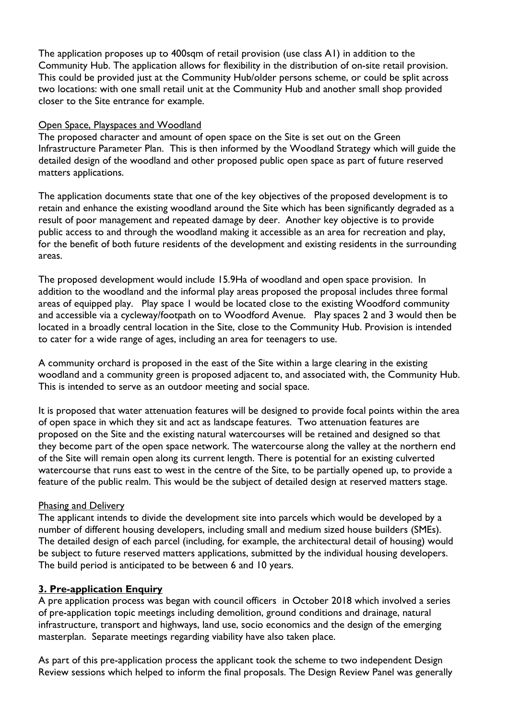The application proposes up to 400sqm of retail provision (use class A1) in addition to the Community Hub. The application allows for flexibility in the distribution of on-site retail provision. This could be provided just at the Community Hub/older persons scheme, or could be split across two locations: with one small retail unit at the Community Hub and another small shop provided closer to the Site entrance for example.

#### Open Space, Playspaces and Woodland

The proposed character and amount of open space on the Site is set out on the Green Infrastructure Parameter Plan. This is then informed by the Woodland Strategy which will guide the detailed design of the woodland and other proposed public open space as part of future reserved matters applications.

The application documents state that one of the key objectives of the proposed development is to retain and enhance the existing woodland around the Site which has been significantly degraded as a result of poor management and repeated damage by deer. Another key objective is to provide public access to and through the woodland making it accessible as an area for recreation and play, for the benefit of both future residents of the development and existing residents in the surrounding areas.

The proposed development would include 15.9Ha of woodland and open space provision. In addition to the woodland and the informal play areas proposed the proposal includes three formal areas of equipped play. Play space 1 would be located close to the existing Woodford community and accessible via a cycleway/footpath on to Woodford Avenue. Play spaces 2 and 3 would then be located in a broadly central location in the Site, close to the Community Hub. Provision is intended to cater for a wide range of ages, including an area for teenagers to use.

A community orchard is proposed in the east of the Site within a large clearing in the existing woodland and a community green is proposed adjacent to, and associated with, the Community Hub. This is intended to serve as an outdoor meeting and social space.

It is proposed that water attenuation features will be designed to provide focal points within the area of open space in which they sit and act as landscape features. Two attenuation features are proposed on the Site and the existing natural watercourses will be retained and designed so that they become part of the open space network. The watercourse along the valley at the northern end of the Site will remain open along its current length. There is potential for an existing culverted watercourse that runs east to west in the centre of the Site, to be partially opened up, to provide a feature of the public realm. This would be the subject of detailed design at reserved matters stage.

#### Phasing and Delivery

The applicant intends to divide the development site into parcels which would be developed by a number of different housing developers, including small and medium sized house builders (SMEs). The detailed design of each parcel (including, for example, the architectural detail of housing) would be subject to future reserved matters applications, submitted by the individual housing developers. The build period is anticipated to be between 6 and 10 years.

#### **3. Pre-application Enquiry**

A pre application process was began with council officers in October 2018 which involved a series of pre-application topic meetings including demolition, ground conditions and drainage, natural infrastructure, transport and highways, land use, socio economics and the design of the emerging masterplan. Separate meetings regarding viability have also taken place.

As part of this pre-application process the applicant took the scheme to two independent Design Review sessions which helped to inform the final proposals. The Design Review Panel was generally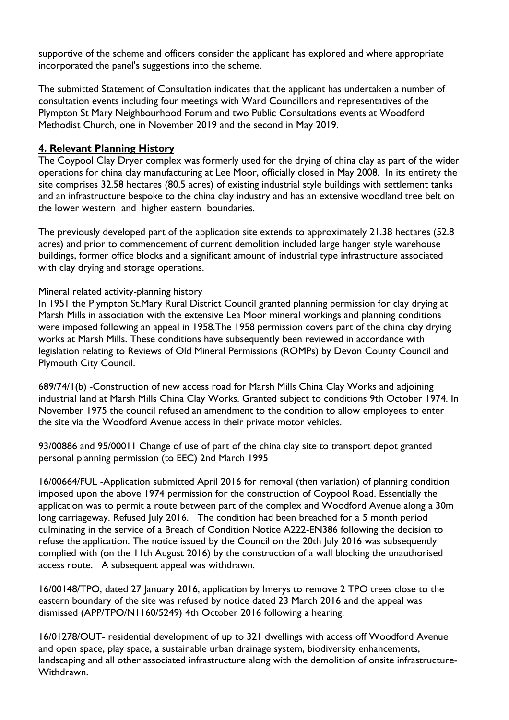supportive of the scheme and officers consider the applicant has explored and where appropriate incorporated the panel's suggestions into the scheme.

The submitted Statement of Consultation indicates that the applicant has undertaken a number of consultation events including four meetings with Ward Councillors and representatives of the Plympton St Mary Neighbourhood Forum and two Public Consultations events at Woodford Methodist Church, one in November 2019 and the second in May 2019.

#### **4. Relevant Planning History**

The Coypool Clay Dryer complex was formerly used for the drying of china clay as part of the wider operations for china clay manufacturing at Lee Moor, officially closed in May 2008. In its entirety the site comprises 32.58 hectares (80.5 acres) of existing industrial style buildings with settlement tanks and an infrastructure bespoke to the china clay industry and has an extensive woodland tree belt on the lower western and higher eastern boundaries.

The previously developed part of the application site extends to approximately 21.38 hectares (52.8 acres) and prior to commencement of current demolition included large hanger style warehouse buildings, former office blocks and a significant amount of industrial type infrastructure associated with clay drying and storage operations.

#### Mineral related activity-planning history

In 1951 the Plympton St.Mary Rural District Council granted planning permission for clay drying at Marsh Mills in association with the extensive Lea Moor mineral workings and planning conditions were imposed following an appeal in 1958.The 1958 permission covers part of the china clay drying works at Marsh Mills. These conditions have subsequently been reviewed in accordance with legislation relating to Reviews of Old Mineral Permissions (ROMPs) by Devon County Council and Plymouth City Council.

689/74/1(b) -Construction of new access road for Marsh Mills China Clay Works and adjoining industrial land at Marsh Mills China Clay Works. Granted subject to conditions 9th October 1974. In November 1975 the council refused an amendment to the condition to allow employees to enter the site via the Woodford Avenue access in their private motor vehicles.

93/00886 and 95/00011 Change of use of part of the china clay site to transport depot granted personal planning permission (to EEC) 2nd March 1995

16/00664/FUL -Application submitted April 2016 for removal (then variation) of planning condition imposed upon the above 1974 permission for the construction of Coypool Road. Essentially the application was to permit a route between part of the complex and Woodford Avenue along a 30m long carriageway. Refused July 2016. The condition had been breached for a 5 month period culminating in the service of a Breach of Condition Notice A222-EN386 following the decision to refuse the application. The notice issued by the Council on the 20th July 2016 was subsequently complied with (on the 11th August 2016) by the construction of a wall blocking the unauthorised access route. A subsequent appeal was withdrawn.

16/00148/TPO, dated 27 January 2016, application by Imerys to remove 2 TPO trees close to the eastern boundary of the site was refused by notice dated 23 March 2016 and the appeal was dismissed (APP/TPO/N1160/5249) 4th October 2016 following a hearing.

16/01278/OUT- residential development of up to 321 dwellings with access off Woodford Avenue and open space, play space, a sustainable urban drainage system, biodiversity enhancements, landscaping and all other associated infrastructure along with the demolition of onsite infrastructure-Withdrawn.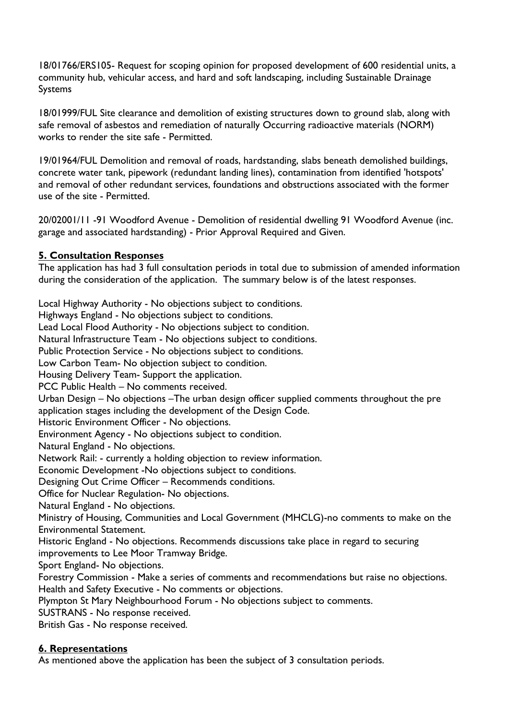18/01766/ERS105- Request for scoping opinion for proposed development of 600 residential units, a community hub, vehicular access, and hard and soft landscaping, including Sustainable Drainage Systems

18/01999/FUL Site clearance and demolition of existing structures down to ground slab, along with safe removal of asbestos and remediation of naturally Occurring radioactive materials (NORM) works to render the site safe - Permitted.

19/01964/FUL Demolition and removal of roads, hardstanding, slabs beneath demolished buildings, concrete water tank, pipework (redundant landing lines), contamination from identified 'hotspots' and removal of other redundant services, foundations and obstructions associated with the former use of the site - Permitted.

20/02001/11 -91 Woodford Avenue - Demolition of residential dwelling 91 Woodford Avenue (inc. garage and associated hardstanding) - Prior Approval Required and Given.

#### **5. Consultation Responses**

The application has had 3 full consultation periods in total due to submission of amended information during the consideration of the application. The summary below is of the latest responses.

Local Highway Authority - No objections subject to conditions. Highways England - No objections subject to conditions. Lead Local Flood Authority - No objections subject to condition. Natural Infrastructure Team - No objections subject to conditions. Public Protection Service - No objections subject to conditions. Low Carbon Team- No objection subject to condition. Housing Delivery Team- Support the application. PCC Public Health – No comments received. Urban Design – No objections –The urban design officer supplied comments throughout the pre application stages including the development of the Design Code. Historic Environment Officer - No objections. Environment Agency - No objections subject to condition. Natural England - No objections. Network Rail: - currently a holding objection to review information. Economic Development -No objections subject to conditions. Designing Out Crime Officer – Recommends conditions. Office for Nuclear Regulation- No objections. Natural England - No objections. Ministry of Housing, Communities and Local Government (MHCLG)-no comments to make on the Environmental Statement. Historic England - No objections. Recommends discussions take place in regard to securing improvements to Lee Moor Tramway Bridge. Sport England- No objections. Forestry Commission - Make a series of comments and recommendations but raise no objections. Health and Safety Executive - No comments or objections. Plympton St Mary Neighbourhood Forum - No objections subject to comments. SUSTRANS - No response received.

British Gas - No response received.

#### **6. Representations**

As mentioned above the application has been the subject of 3 consultation periods.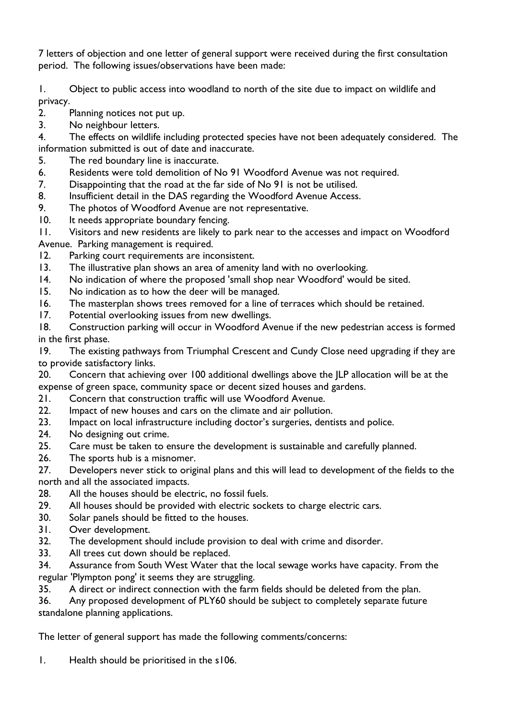7 letters of objection and one letter of general support were received during the first consultation period. The following issues/observations have been made:

1. Object to public access into woodland to north of the site due to impact on wildlife and privacy.

- 2. Planning notices not put up.
- 3. No neighbour letters.

4. The effects on wildlife including protected species have not been adequately considered. The information submitted is out of date and inaccurate.

- 5. The red boundary line is inaccurate.
- 6. Residents were told demolition of No 91 Woodford Avenue was not required.
- 7. Disappointing that the road at the far side of No 91 is not be utilised.<br>8. Insufficient detail in the DAS regarding the Woodford Avenue Access.
- 8. Insufficient detail in the DAS regarding the Woodford Avenue Access.<br>9. The photos of Woodford Avenue are not representative.
- The photos of Woodford Avenue are not representative.
- 10. It needs appropriate boundary fencing.

11. Visitors and new residents are likely to park near to the accesses and impact on Woodford Avenue. Parking management is required.

- 12. Parking court requirements are inconsistent.
- 13. The illustrative plan shows an area of amenity land with no overlooking.
- 14. No indication of where the proposed 'small shop near Woodford' would be sited.
- 15. No indication as to how the deer will be managed.
- 16. The masterplan shows trees removed for a line of terraces which should be retained.<br>17. Potential overlooking issues from new dwellings.
- Potential overlooking issues from new dwellings.

18. Construction parking will occur in Woodford Avenue if the new pedestrian access is formed in the first phase.

19. The existing pathways from Triumphal Crescent and Cundy Close need upgrading if they are to provide satisfactory links.

20. Concern that achieving over 100 additional dwellings above the JLP allocation will be at the expense of green space, community space or decent sized houses and gardens.

- 21. Concern that construction traffic will use Woodford Avenue.<br>22. Impact of new houses and cars on the climate and air pollution
- Impact of new houses and cars on the climate and air pollution.
- 23. Impact on local infrastructure including doctor's surgeries, dentists and police.
- 24. No designing out crime.

25. Care must be taken to ensure the development is sustainable and carefully planned.

26. The sports hub is a misnomer.

27. Developers never stick to original plans and this will lead to development of the fields to the north and all the associated impacts.<br>28. All the houses should be elec-

- All the houses should be electric, no fossil fuels.
- 29. All houses should be provided with electric sockets to charge electric cars.
- 30. Solar panels should be fitted to the houses.
- 31. Over development.
- 32. The development should include provision to deal with crime and disorder.
- 33. All trees cut down should be replaced.

34. Assurance from South West Water that the local sewage works have capacity. From the regular 'Plympton pong' it seems they are struggling.

35. A direct or indirect connection with the farm fields should be deleted from the plan.

36. Any proposed development of PLY60 should be subject to completely separate future standalone planning applications.

The letter of general support has made the following comments/concerns:

1. Health should be prioritised in the s106.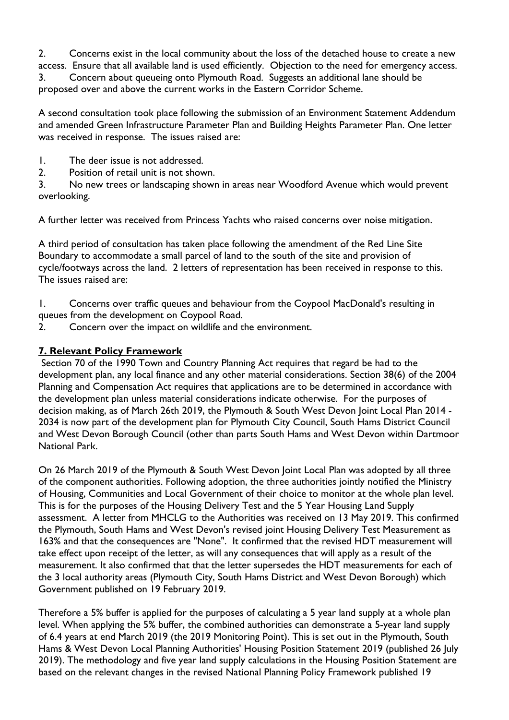2. Concerns exist in the local community about the loss of the detached house to create a new access. Ensure that all available land is used efficiently. Objection to the need for emergency access. 3. Concern about queueing onto Plymouth Road. Suggests an additional lane should be proposed over and above the current works in the Eastern Corridor Scheme.

A second consultation took place following the submission of an Environment Statement Addendum and amended Green Infrastructure Parameter Plan and Building Heights Parameter Plan. One letter was received in response. The issues raised are:

- 1. The deer issue is not addressed.
- 2. Position of retail unit is not shown.

3. No new trees or landscaping shown in areas near Woodford Avenue which would prevent overlooking.

A further letter was received from Princess Yachts who raised concerns over noise mitigation.

A third period of consultation has taken place following the amendment of the Red Line Site Boundary to accommodate a small parcel of land to the south of the site and provision of cycle/footways across the land. 2 letters of representation has been received in response to this. The issues raised are:

1. Concerns over traffic queues and behaviour from the Coypool MacDonald's resulting in queues from the development on Coypool Road.

2. Concern over the impact on wildlife and the environment.

#### **7. Relevant Policy Framework**

Section 70 of the 1990 Town and Country Planning Act requires that regard be had to the development plan, any local finance and any other material considerations. Section 38(6) of the 2004 Planning and Compensation Act requires that applications are to be determined in accordance with the development plan unless material considerations indicate otherwise. For the purposes of decision making, as of March 26th 2019, the Plymouth & South West Devon Joint Local Plan 2014 - 2034 is now part of the development plan for Plymouth City Council, South Hams District Council and West Devon Borough Council (other than parts South Hams and West Devon within Dartmoor National Park.

On 26 March 2019 of the Plymouth & South West Devon Joint Local Plan was adopted by all three of the component authorities. Following adoption, the three authorities jointly notified the Ministry of Housing, Communities and Local Government of their choice to monitor at the whole plan level. This is for the purposes of the Housing Delivery Test and the 5 Year Housing Land Supply assessment. A letter from MHCLG to the Authorities was received on 13 May 2019. This confirmed the Plymouth, South Hams and West Devon's revised joint Housing Delivery Test Measurement as 163% and that the consequences are "None". It confirmed that the revised HDT measurement will take effect upon receipt of the letter, as will any consequences that will apply as a result of the measurement. It also confirmed that that the letter supersedes the HDT measurements for each of the 3 local authority areas (Plymouth City, South Hams District and West Devon Borough) which Government published on 19 February 2019.

Therefore a 5% buffer is applied for the purposes of calculating a 5 year land supply at a whole plan level. When applying the 5% buffer, the combined authorities can demonstrate a 5-year land supply of 6.4 years at end March 2019 (the 2019 Monitoring Point). This is set out in the Plymouth, South Hams & West Devon Local Planning Authorities' Housing Position Statement 2019 (published 26 July 2019). The methodology and five year land supply calculations in the Housing Position Statement are based on the relevant changes in the revised National Planning Policy Framework published 19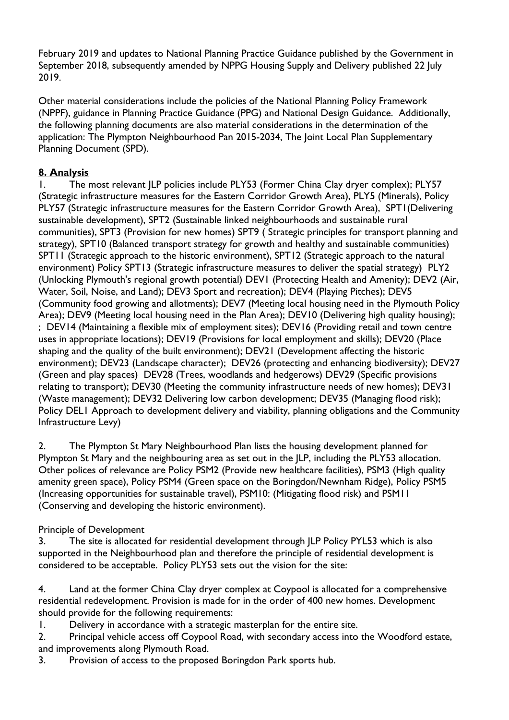February 2019 and updates to National Planning Practice Guidance published by the Government in September 2018, subsequently amended by NPPG Housing Supply and Delivery published 22 July 2019.

Other material considerations include the policies of the National Planning Policy Framework (NPPF), guidance in Planning Practice Guidance (PPG) and National Design Guidance. Additionally, the following planning documents are also material considerations in the determination of the application: The Plympton Neighbourhood Pan 2015-2034, The Joint Local Plan Supplementary Planning Document (SPD).

#### **8. Analysis**

1. The most relevant JLP policies include PLY53 (Former China Clay dryer complex); PLY57 (Strategic infrastructure measures for the Eastern Corridor Growth Area), PLY5 (Minerals), Policy PLY57 (Strategic infrastructure measures for the Eastern Corridor Growth Area), SPT1(Delivering sustainable development), SPT2 (Sustainable linked neighbourhoods and sustainable rural communities), SPT3 (Provision for new homes) SPT9 ( Strategic principles for transport planning and strategy), SPT10 (Balanced transport strategy for growth and healthy and sustainable communities) SPT11 (Strategic approach to the historic environment), SPT12 (Strategic approach to the natural environment) Policy SPT13 (Strategic infrastructure measures to deliver the spatial strategy) PLY2 (Unlocking Plymouth's regional growth potential) DEV1 (Protecting Health and Amenity); DEV2 (Air, Water, Soil, Noise, and Land); DEV3 Sport and recreation); DEV4 (Playing Pitches); DEV5 (Community food growing and allotments); DEV7 (Meeting local housing need in the Plymouth Policy Area); DEV9 (Meeting local housing need in the Plan Area); DEV10 (Delivering high quality housing); ; DEV14 (Maintaining a flexible mix of employment sites); DEV16 (Providing retail and town centre uses in appropriate locations); DEV19 (Provisions for local employment and skills); DEV20 (Place shaping and the quality of the built environment); DEV21 (Development affecting the historic environment); DEV23 (Landscape character); DEV26 (protecting and enhancing biodiversity); DEV27 (Green and play spaces) DEV28 (Trees, woodlands and hedgerows) DEV29 (Specific provisions relating to transport); DEV30 (Meeting the community infrastructure needs of new homes); DEV31 (Waste management); DEV32 Delivering low carbon development; DEV35 (Managing flood risk); Policy DEL1 Approach to development delivery and viability, planning obligations and the Community Infrastructure Levy)

2. The Plympton St Mary Neighbourhood Plan lists the housing development planned for Plympton St Mary and the neighbouring area as set out in the JLP, including the PLY53 allocation. Other polices of relevance are Policy PSM2 (Provide new healthcare facilities), PSM3 (High quality amenity green space), Policy PSM4 (Green space on the Boringdon/Newnham Ridge), Policy PSM5 (Increasing opportunities for sustainable travel), PSM10: (Mitigating flood risk) and PSM11 (Conserving and developing the historic environment).

#### Principle of Development

3. The site is allocated for residential development through JLP Policy PYL53 which is also supported in the Neighbourhood plan and therefore the principle of residential development is considered to be acceptable. Policy PLY53 sets out the vision for the site:

4. Land at the former China Clay dryer complex at Coypool is allocated for a comprehensive residential redevelopment. Provision is made for in the order of 400 new homes. Development should provide for the following requirements:

1. Delivery in accordance with a strategic masterplan for the entire site.

2. Principal vehicle access off Coypool Road, with secondary access into the Woodford estate, and improvements along Plymouth Road.

3. Provision of access to the proposed Boringdon Park sports hub.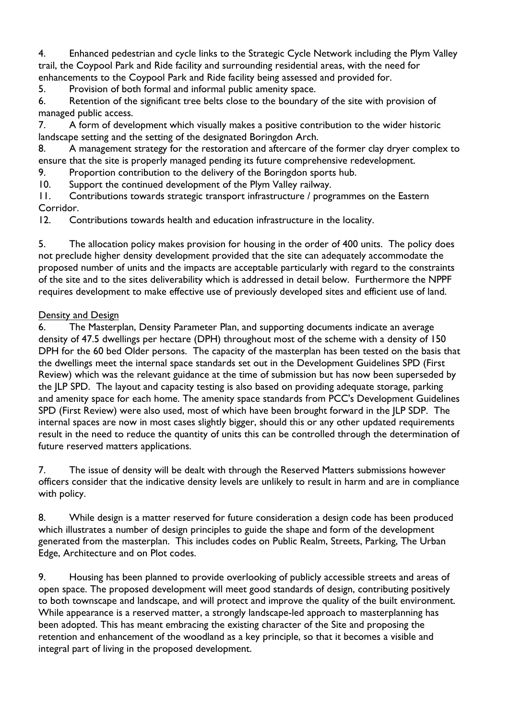4. Enhanced pedestrian and cycle links to the Strategic Cycle Network including the Plym Valley trail, the Coypool Park and Ride facility and surrounding residential areas, with the need for enhancements to the Coypool Park and Ride facility being assessed and provided for.

5. Provision of both formal and informal public amenity space.

6. Retention of the significant tree belts close to the boundary of the site with provision of managed public access.

7. A form of development which visually makes a positive contribution to the wider historic landscape setting and the setting of the designated Boringdon Arch.

8. A management strategy for the restoration and aftercare of the former clay dryer complex to ensure that the site is properly managed pending its future comprehensive redevelopment.

9. Proportion contribution to the delivery of the Boringdon sports hub.

10. Support the continued development of the Plym Valley railway.<br>11. Contributions towards strategic transport infrastructure / prog

Contributions towards strategic transport infrastructure / programmes on the Eastern Corridor.

12. Contributions towards health and education infrastructure in the locality.

5. The allocation policy makes provision for housing in the order of 400 units. The policy does not preclude higher density development provided that the site can adequately accommodate the proposed number of units and the impacts are acceptable particularly with regard to the constraints of the site and to the sites deliverability which is addressed in detail below. Furthermore the NPPF requires development to make effective use of previously developed sites and efficient use of land.

#### Density and Design

6. The Masterplan, Density Parameter Plan, and supporting documents indicate an average density of 47.5 dwellings per hectare (DPH) throughout most of the scheme with a density of 150 DPH for the 60 bed Older persons. The capacity of the masterplan has been tested on the basis that the dwellings meet the internal space standards set out in the Development Guidelines SPD (First Review) which was the relevant guidance at the time of submission but has now been superseded by the JLP SPD. The layout and capacity testing is also based on providing adequate storage, parking and amenity space for each home. The amenity space standards from PCC's Development Guidelines SPD (First Review) were also used, most of which have been brought forward in the JLP SDP. The internal spaces are now in most cases slightly bigger, should this or any other updated requirements result in the need to reduce the quantity of units this can be controlled through the determination of future reserved matters applications.

7. The issue of density will be dealt with through the Reserved Matters submissions however officers consider that the indicative density levels are unlikely to result in harm and are in compliance with policy.

8. While design is a matter reserved for future consideration a design code has been produced which illustrates a number of design principles to guide the shape and form of the development generated from the masterplan. This includes codes on Public Realm, Streets, Parking, The Urban Edge, Architecture and on Plot codes.

9. Housing has been planned to provide overlooking of publicly accessible streets and areas of open space. The proposed development will meet good standards of design, contributing positively to both townscape and landscape, and will protect and improve the quality of the built environment. While appearance is a reserved matter, a strongly landscape-led approach to masterplanning has been adopted. This has meant embracing the existing character of the Site and proposing the retention and enhancement of the woodland as a key principle, so that it becomes a visible and integral part of living in the proposed development.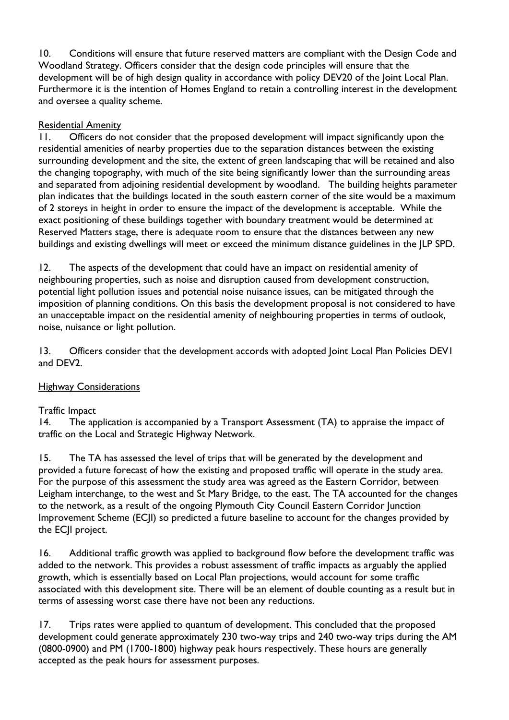10. Conditions will ensure that future reserved matters are compliant with the Design Code and Woodland Strategy. Officers consider that the design code principles will ensure that the development will be of high design quality in accordance with policy DEV20 of the Joint Local Plan. Furthermore it is the intention of Homes England to retain a controlling interest in the development and oversee a quality scheme.

#### Residential Amenity

11. Officers do not consider that the proposed development will impact significantly upon the residential amenities of nearby properties due to the separation distances between the existing surrounding development and the site, the extent of green landscaping that will be retained and also the changing topography, with much of the site being significantly lower than the surrounding areas and separated from adjoining residential development by woodland. The building heights parameter plan indicates that the buildings located in the south eastern corner of the site would be a maximum of 2 storeys in height in order to ensure the impact of the development is acceptable. While the exact positioning of these buildings together with boundary treatment would be determined at Reserved Matters stage, there is adequate room to ensure that the distances between any new buildings and existing dwellings will meet or exceed the minimum distance guidelines in the JLP SPD.

12. The aspects of the development that could have an impact on residential amenity of neighbouring properties, such as noise and disruption caused from development construction, potential light pollution issues and potential noise nuisance issues, can be mitigated through the imposition of planning conditions. On this basis the development proposal is not considered to have an unacceptable impact on the residential amenity of neighbouring properties in terms of outlook, noise, nuisance or light pollution.

13. Officers consider that the development accords with adopted Joint Local Plan Policies DEVI and DEV2.

#### Highway Considerations

#### Traffic Impact

14. The application is accompanied by a Transport Assessment (TA) to appraise the impact of traffic on the Local and Strategic Highway Network.

15. The TA has assessed the level of trips that will be generated by the development and provided a future forecast of how the existing and proposed traffic will operate in the study area. For the purpose of this assessment the study area was agreed as the Eastern Corridor, between Leigham interchange, to the west and St Mary Bridge, to the east. The TA accounted for the changes to the network, as a result of the ongoing Plymouth City Council Eastern Corridor Junction Improvement Scheme (ECJI) so predicted a future baseline to account for the changes provided by the ECJI project.

16. Additional traffic growth was applied to background flow before the development traffic was added to the network. This provides a robust assessment of traffic impacts as arguably the applied growth, which is essentially based on Local Plan projections, would account for some traffic associated with this development site. There will be an element of double counting as a result but in terms of assessing worst case there have not been any reductions.

17. Trips rates were applied to quantum of development. This concluded that the proposed development could generate approximately 230 two-way trips and 240 two-way trips during the AM (0800-0900) and PM (1700-1800) highway peak hours respectively. These hours are generally accepted as the peak hours for assessment purposes.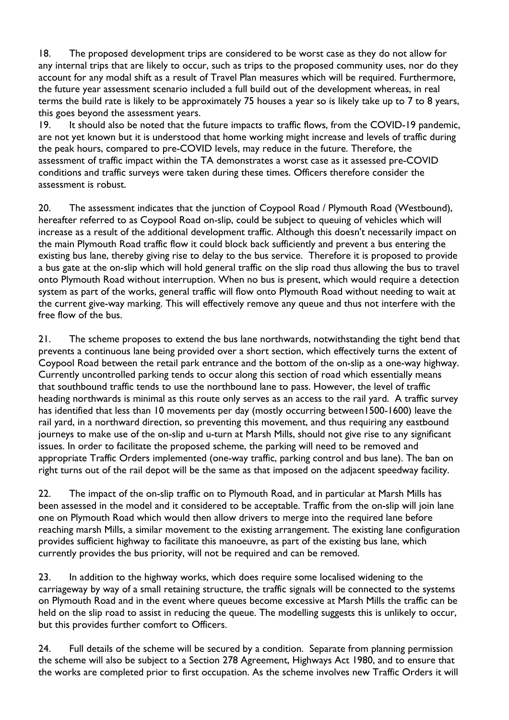18. The proposed development trips are considered to be worst case as they do not allow for any internal trips that are likely to occur, such as trips to the proposed community uses, nor do they account for any modal shift as a result of Travel Plan measures which will be required. Furthermore, the future year assessment scenario included a full build out of the development whereas, in real terms the build rate is likely to be approximately 75 houses a year so is likely take up to 7 to 8 years, this goes beyond the assessment years.

19. It should also be noted that the future impacts to traffic flows, from the COVID-19 pandemic, are not yet known but it is understood that home working might increase and levels of traffic during the peak hours, compared to pre-COVID levels, may reduce in the future. Therefore, the assessment of traffic impact within the TA demonstrates a worst case as it assessed pre-COVID conditions and traffic surveys were taken during these times. Officers therefore consider the assessment is robust.

20. The assessment indicates that the junction of Coypool Road / Plymouth Road (Westbound), hereafter referred to as Coypool Road on-slip, could be subject to queuing of vehicles which will increase as a result of the additional development traffic. Although this doesn't necessarily impact on the main Plymouth Road traffic flow it could block back sufficiently and prevent a bus entering the existing bus lane, thereby giving rise to delay to the bus service. Therefore it is proposed to provide a bus gate at the on-slip which will hold general traffic on the slip road thus allowing the bus to travel onto Plymouth Road without interruption. When no bus is present, which would require a detection system as part of the works, general traffic will flow onto Plymouth Road without needing to wait at the current give-way marking. This will effectively remove any queue and thus not interfere with the free flow of the bus.

21. The scheme proposes to extend the bus lane northwards, notwithstanding the tight bend that prevents a continuous lane being provided over a short section, which effectively turns the extent of Coypool Road between the retail park entrance and the bottom of the on-slip as a one-way highway. Currently uncontrolled parking tends to occur along this section of road which essentially means that southbound traffic tends to use the northbound lane to pass. However, the level of traffic heading northwards is minimal as this route only serves as an access to the rail yard. A traffic survey has identified that less than 10 movements per day (mostly occurring between1500-1600) leave the rail yard, in a northward direction, so preventing this movement, and thus requiring any eastbound journeys to make use of the on-slip and u-turn at Marsh Mills, should not give rise to any significant issues. In order to facilitate the proposed scheme, the parking will need to be removed and appropriate Traffic Orders implemented (one-way traffic, parking control and bus lane). The ban on right turns out of the rail depot will be the same as that imposed on the adjacent speedway facility.

22. The impact of the on-slip traffic on to Plymouth Road, and in particular at Marsh Mills has been assessed in the model and it considered to be acceptable. Traffic from the on-slip will join lane one on Plymouth Road which would then allow drivers to merge into the required lane before reaching marsh Mills, a similar movement to the existing arrangement. The existing lane configuration provides sufficient highway to facilitate this manoeuvre, as part of the existing bus lane, which currently provides the bus priority, will not be required and can be removed.

23. In addition to the highway works, which does require some localised widening to the carriageway by way of a small retaining structure, the traffic signals will be connected to the systems on Plymouth Road and in the event where queues become excessive at Marsh Mills the traffic can be held on the slip road to assist in reducing the queue. The modelling suggests this is unlikely to occur, but this provides further comfort to Officers.

24. Full details of the scheme will be secured by a condition. Separate from planning permission the scheme will also be subject to a Section 278 Agreement, Highways Act 1980, and to ensure that the works are completed prior to first occupation. As the scheme involves new Traffic Orders it will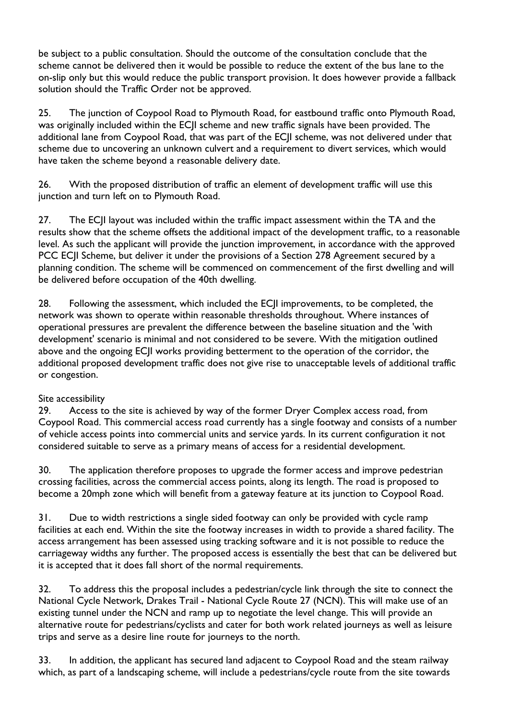be subject to a public consultation. Should the outcome of the consultation conclude that the scheme cannot be delivered then it would be possible to reduce the extent of the bus lane to the on-slip only but this would reduce the public transport provision. It does however provide a fallback solution should the Traffic Order not be approved.

25. The junction of Coypool Road to Plymouth Road, for eastbound traffic onto Plymouth Road, was originally included within the ECJI scheme and new traffic signals have been provided. The additional lane from Coypool Road, that was part of the ECJI scheme, was not delivered under that scheme due to uncovering an unknown culvert and a requirement to divert services, which would have taken the scheme beyond a reasonable delivery date.

26. With the proposed distribution of traffic an element of development traffic will use this junction and turn left on to Plymouth Road.

27. The ECJI layout was included within the traffic impact assessment within the TA and the results show that the scheme offsets the additional impact of the development traffic, to a reasonable level. As such the applicant will provide the junction improvement, in accordance with the approved PCC ECJI Scheme, but deliver it under the provisions of a Section 278 Agreement secured by a planning condition. The scheme will be commenced on commencement of the first dwelling and will be delivered before occupation of the 40th dwelling.

28. Following the assessment, which included the ECJI improvements, to be completed, the network was shown to operate within reasonable thresholds throughout. Where instances of operational pressures are prevalent the difference between the baseline situation and the 'with development' scenario is minimal and not considered to be severe. With the mitigation outlined above and the ongoing ECJI works providing betterment to the operation of the corridor, the additional proposed development traffic does not give rise to unacceptable levels of additional traffic or congestion.

#### Site accessibility

29. Access to the site is achieved by way of the former Dryer Complex access road, from Coypool Road. This commercial access road currently has a single footway and consists of a number of vehicle access points into commercial units and service yards. In its current configuration it not considered suitable to serve as a primary means of access for a residential development.

30. The application therefore proposes to upgrade the former access and improve pedestrian crossing facilities, across the commercial access points, along its length. The road is proposed to become a 20mph zone which will benefit from a gateway feature at its junction to Coypool Road.

31. Due to width restrictions a single sided footway can only be provided with cycle ramp facilities at each end. Within the site the footway increases in width to provide a shared facility. The access arrangement has been assessed using tracking software and it is not possible to reduce the carriageway widths any further. The proposed access is essentially the best that can be delivered but it is accepted that it does fall short of the normal requirements.

32. To address this the proposal includes a pedestrian/cycle link through the site to connect the National Cycle Network, Drakes Trail - National Cycle Route 27 (NCN). This will make use of an existing tunnel under the NCN and ramp up to negotiate the level change. This will provide an alternative route for pedestrians/cyclists and cater for both work related journeys as well as leisure trips and serve as a desire line route for journeys to the north.

33. In addition, the applicant has secured land adjacent to Coypool Road and the steam railway which, as part of a landscaping scheme, will include a pedestrians/cycle route from the site towards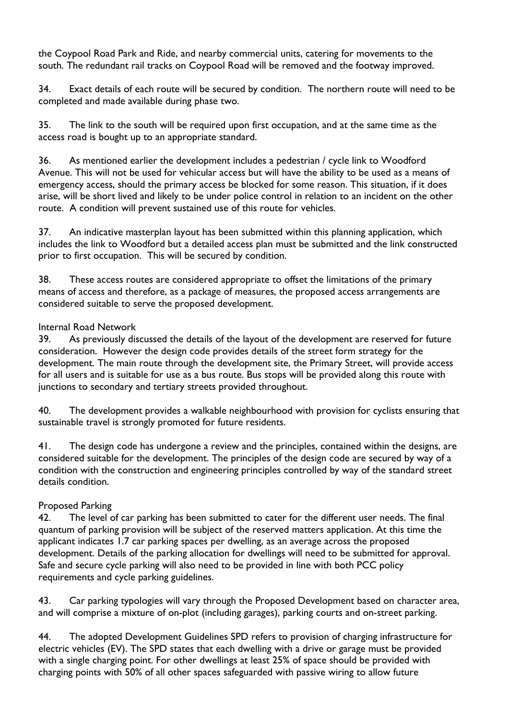the Coypool Road Park and Ride, and nearby commercial units, catering for movements to the south. The redundant rail tracks on Coypool Road will be removed and the footway improved.

34. Exact details of each route will be secured by condition. The northern route will need to be completed and made available during phase two.

35. The link to the south will be required upon first occupation, and at the same time as the access road is bought up to an appropriate standard.

36. As mentioned earlier the development includes a pedestrian / cycle link to Woodford Avenue. This will not be used for vehicular access but will have the ability to be used as a means of emergency access, should the primary access be blocked for some reason. This situation, if it does arise, will be short lived and likely to be under police control in relation to an incident on the other route. A condition will prevent sustained use of this route for vehicles.

37. An indicative masterplan layout has been submitted within this planning application, which includes the link to Woodford but a detailed access plan must be submitted and the link constructed prior to first occupation. This will be secured by condition.

38. These access routes are considered appropriate to offset the limitations of the primary means of access and therefore, as a package of measures, the proposed access arrangements are considered suitable to serve the proposed development.

#### Internal Road Network

39. As previously discussed the details of the layout of the development are reserved for future consideration. However the design code provides details of the street form strategy for the development. The main route through the development site, the Primary Street, will provide access for all users and is suitable for use as a bus route. Bus stops will be provided along this route with junctions to secondary and tertiary streets provided throughout.

40. The development provides a walkable neighbourhood with provision for cyclists ensuring that sustainable travel is strongly promoted for future residents.

41. The design code has undergone a review and the principles, contained within the designs, are considered suitable for the development. The principles of the design code are secured by way of a condition with the construction and engineering principles controlled by way of the standard street details condition.

#### Proposed Parking

42. The level of car parking has been submitted to cater for the different user needs. The final quantum of parking provision will be subject of the reserved matters application. At this time the applicant indicates 1.7 car parking spaces per dwelling, as an average across the proposed development. Details of the parking allocation for dwellings will need to be submitted for approval. Safe and secure cycle parking will also need to be provided in line with both PCC policy requirements and cycle parking guidelines.

43. Car parking typologies will vary through the Proposed Development based on character area, and will comprise a mixture of on-plot (including garages), parking courts and on-street parking.

44. The adopted Development Guidelines SPD refers to provision of charging infrastructure for electric vehicles (EV). The SPD states that each dwelling with a drive or garage must be provided with a single charging point. For other dwellings at least 25% of space should be provided with charging points with 50% of all other spaces safeguarded with passive wiring to allow future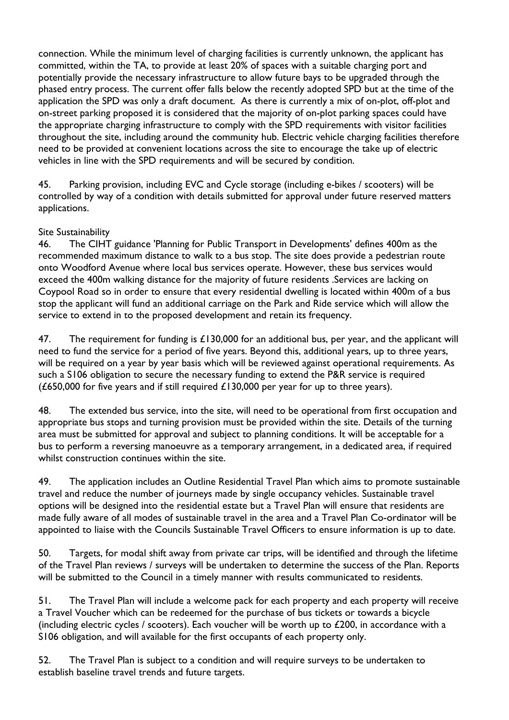connection. While the minimum level of charging facilities is currently unknown, the applicant has committed, within the TA, to provide at least 20% of spaces with a suitable charging port and potentially provide the necessary infrastructure to allow future bays to be upgraded through the phased entry process. The current offer falls below the recently adopted SPD but at the time of the application the SPD was only a draft document. As there is currently a mix of on-plot, off-plot and on-street parking proposed it is considered that the majority of on-plot parking spaces could have the appropriate charging infrastructure to comply with the SPD requirements with visitor facilities throughout the site, including around the community hub. Electric vehicle charging facilities therefore need to be provided at convenient locations across the site to encourage the take up of electric vehicles in line with the SPD requirements and will be secured by condition.

45. Parking provision, including EVC and Cycle storage (including e-bikes / scooters) will be controlled by way of a condition with details submitted for approval under future reserved matters applications.

#### Site Sustainability

46. The CIHT guidance 'Planning for Public Transport in Developments' defines 400m as the recommended maximum distance to walk to a bus stop. The site does provide a pedestrian route onto Woodford Avenue where local bus services operate. However, these bus services would exceed the 400m walking distance for the majority of future residents .Services are lacking on Coypool Road so in order to ensure that every residential dwelling is located within 400m of a bus stop the applicant will fund an additional carriage on the Park and Ride service which will allow the service to extend in to the proposed development and retain its frequency.

47. The requirement for funding is  $£130,000$  for an additional bus, per year, and the applicant will need to fund the service for a period of five years. Beyond this, additional years, up to three years, will be required on a year by year basis which will be reviewed against operational requirements. As such a S106 obligation to secure the necessary funding to extend the P&R service is required (£650,000 for five years and if still required  $£130,000$  per year for up to three years).

48. The extended bus service, into the site, will need to be operational from first occupation and appropriate bus stops and turning provision must be provided within the site. Details of the turning area must be submitted for approval and subject to planning conditions. It will be acceptable for a bus to perform a reversing manoeuvre as a temporary arrangement, in a dedicated area, if required whilst construction continues within the site.

49. The application includes an Outline Residential Travel Plan which aims to promote sustainable travel and reduce the number of journeys made by single occupancy vehicles. Sustainable travel options will be designed into the residential estate but a Travel Plan will ensure that residents are made fully aware of all modes of sustainable travel in the area and a Travel Plan Co-ordinator will be appointed to liaise with the Councils Sustainable Travel Officers to ensure information is up to date.

50. Targets, for modal shift away from private car trips, will be identified and through the lifetime of the Travel Plan reviews / surveys will be undertaken to determine the success of the Plan. Reports will be submitted to the Council in a timely manner with results communicated to residents.

51. The Travel Plan will include a welcome pack for each property and each property will receive a Travel Voucher which can be redeemed for the purchase of bus tickets or towards a bicycle (including electric cycles / scooters). Each voucher will be worth up to £200, in accordance with a S106 obligation, and will available for the first occupants of each property only.

52. The Travel Plan is subject to a condition and will require surveys to be undertaken to establish baseline travel trends and future targets.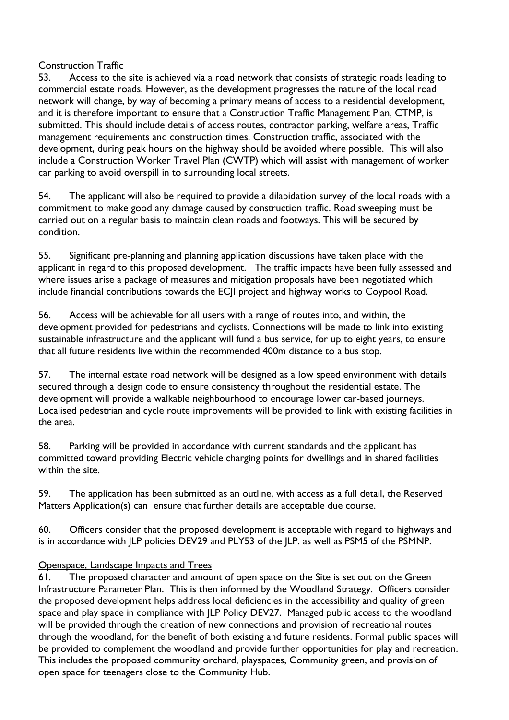#### Construction Traffic

53. Access to the site is achieved via a road network that consists of strategic roads leading to commercial estate roads. However, as the development progresses the nature of the local road network will change, by way of becoming a primary means of access to a residential development, and it is therefore important to ensure that a Construction Traffic Management Plan, CTMP, is submitted. This should include details of access routes, contractor parking, welfare areas, Traffic management requirements and construction times. Construction traffic, associated with the development, during peak hours on the highway should be avoided where possible. This will also include a Construction Worker Travel Plan (CWTP) which will assist with management of worker car parking to avoid overspill in to surrounding local streets.

54. The applicant will also be required to provide a dilapidation survey of the local roads with a commitment to make good any damage caused by construction traffic. Road sweeping must be carried out on a regular basis to maintain clean roads and footways. This will be secured by condition.

55. Significant pre-planning and planning application discussions have taken place with the applicant in regard to this proposed development. The traffic impacts have been fully assessed and where issues arise a package of measures and mitigation proposals have been negotiated which include financial contributions towards the ECJI project and highway works to Coypool Road.

56. Access will be achievable for all users with a range of routes into, and within, the development provided for pedestrians and cyclists. Connections will be made to link into existing sustainable infrastructure and the applicant will fund a bus service, for up to eight years, to ensure that all future residents live within the recommended 400m distance to a bus stop.

57. The internal estate road network will be designed as a low speed environment with details secured through a design code to ensure consistency throughout the residential estate. The development will provide a walkable neighbourhood to encourage lower car-based journeys. Localised pedestrian and cycle route improvements will be provided to link with existing facilities in the area.

58. Parking will be provided in accordance with current standards and the applicant has committed toward providing Electric vehicle charging points for dwellings and in shared facilities within the site.

59. The application has been submitted as an outline, with access as a full detail, the Reserved Matters Application(s) can ensure that further details are acceptable due course.

60. Officers consider that the proposed development is acceptable with regard to highways and is in accordance with JLP policies DEV29 and PLY53 of the JLP. as well as PSM5 of the PSMNP.

#### Openspace, Landscape Impacts and Trees

61. The proposed character and amount of open space on the Site is set out on the Green Infrastructure Parameter Plan. This is then informed by the Woodland Strategy. Officers consider the proposed development helps address local deficiencies in the accessibility and quality of green space and play space in compliance with JLP Policy DEV27. Managed public access to the woodland will be provided through the creation of new connections and provision of recreational routes through the woodland, for the benefit of both existing and future residents. Formal public spaces will be provided to complement the woodland and provide further opportunities for play and recreation. This includes the proposed community orchard, playspaces, Community green, and provision of open space for teenagers close to the Community Hub.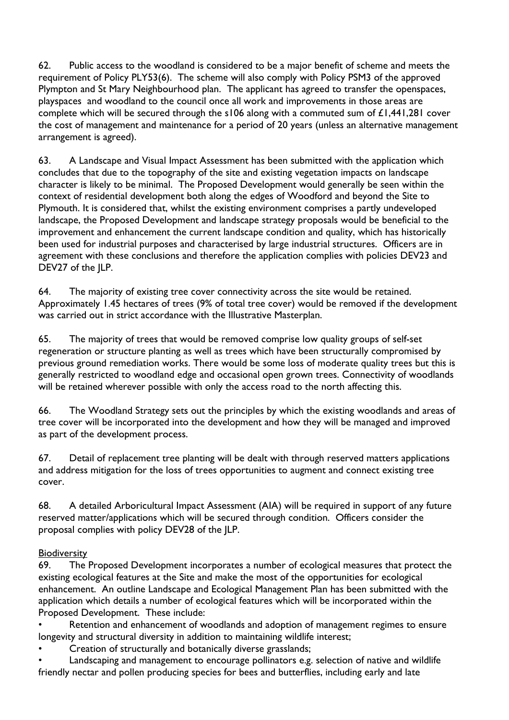62. Public access to the woodland is considered to be a major benefit of scheme and meets the requirement of Policy PLY53(6). The scheme will also comply with Policy PSM3 of the approved Plympton and St Mary Neighbourhood plan. The applicant has agreed to transfer the openspaces, playspaces and woodland to the council once all work and improvements in those areas are complete which will be secured through the s106 along with a commuted sum of £1,441,281 cover the cost of management and maintenance for a period of 20 years (unless an alternative management arrangement is agreed).

63. A Landscape and Visual Impact Assessment has been submitted with the application which concludes that due to the topography of the site and existing vegetation impacts on landscape character is likely to be minimal. The Proposed Development would generally be seen within the context of residential development both along the edges of Woodford and beyond the Site to Plymouth. It is considered that, whilst the existing environment comprises a partly undeveloped landscape, the Proposed Development and landscape strategy proposals would be beneficial to the improvement and enhancement the current landscape condition and quality, which has historically been used for industrial purposes and characterised by large industrial structures. Officers are in agreement with these conclusions and therefore the application complies with policies DEV23 and DEV27 of the ILP.

64. The majority of existing tree cover connectivity across the site would be retained. Approximately 1.45 hectares of trees (9% of total tree cover) would be removed if the development was carried out in strict accordance with the Illustrative Masterplan.

65. The majority of trees that would be removed comprise low quality groups of self-set regeneration or structure planting as well as trees which have been structurally compromised by previous ground remediation works. There would be some loss of moderate quality trees but this is generally restricted to woodland edge and occasional open grown trees. Connectivity of woodlands will be retained wherever possible with only the access road to the north affecting this.

66. The Woodland Strategy sets out the principles by which the existing woodlands and areas of tree cover will be incorporated into the development and how they will be managed and improved as part of the development process.

67. Detail of replacement tree planting will be dealt with through reserved matters applications and address mitigation for the loss of trees opportunities to augment and connect existing tree cover.

68. A detailed Arboricultural Impact Assessment (AIA) will be required in support of any future reserved matter/applications which will be secured through condition. Officers consider the proposal complies with policy DEV28 of the JLP.

#### **Biodiversity**

69. The Proposed Development incorporates a number of ecological measures that protect the existing ecological features at the Site and make the most of the opportunities for ecological enhancement. An outline Landscape and Ecological Management Plan has been submitted with the application which details a number of ecological features which will be incorporated within the Proposed Development. These include:

Retention and enhancement of woodlands and adoption of management regimes to ensure longevity and structural diversity in addition to maintaining wildlife interest;

• Creation of structurally and botanically diverse grasslands;

• Landscaping and management to encourage pollinators e.g. selection of native and wildlife friendly nectar and pollen producing species for bees and butterflies, including early and late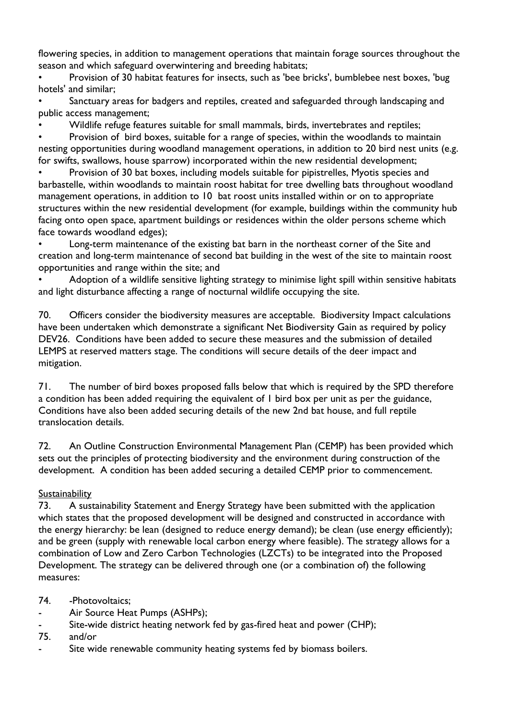flowering species, in addition to management operations that maintain forage sources throughout the season and which safeguard overwintering and breeding habitats;

• Provision of 30 habitat features for insects, such as 'bee bricks', bumblebee nest boxes, 'bug hotels' and similar;

• Sanctuary areas for badgers and reptiles, created and safeguarded through landscaping and public access management;

• Wildlife refuge features suitable for small mammals, birds, invertebrates and reptiles;

• Provision of bird boxes, suitable for a range of species, within the woodlands to maintain nesting opportunities during woodland management operations, in addition to 20 bird nest units (e.g. for swifts, swallows, house sparrow) incorporated within the new residential development;

• Provision of 30 bat boxes, including models suitable for pipistrelles, Myotis species and barbastelle, within woodlands to maintain roost habitat for tree dwelling bats throughout woodland management operations, in addition to 10 bat roost units installed within or on to appropriate structures within the new residential development (for example, buildings within the community hub facing onto open space, apartment buildings or residences within the older persons scheme which face towards woodland edges);

• Long-term maintenance of the existing bat barn in the northeast corner of the Site and creation and long-term maintenance of second bat building in the west of the site to maintain roost opportunities and range within the site; and

• Adoption of a wildlife sensitive lighting strategy to minimise light spill within sensitive habitats and light disturbance affecting a range of nocturnal wildlife occupying the site.

70. Officers consider the biodiversity measures are acceptable. Biodiversity Impact calculations have been undertaken which demonstrate a significant Net Biodiversity Gain as required by policy DEV26. Conditions have been added to secure these measures and the submission of detailed LEMPS at reserved matters stage. The conditions will secure details of the deer impact and mitigation.

71. The number of bird boxes proposed falls below that which is required by the SPD therefore a condition has been added requiring the equivalent of 1 bird box per unit as per the guidance, Conditions have also been added securing details of the new 2nd bat house, and full reptile translocation details.

72. An Outline Construction Environmental Management Plan (CEMP) has been provided which sets out the principles of protecting biodiversity and the environment during construction of the development. A condition has been added securing a detailed CEMP prior to commencement.

## **Sustainability**

73. A sustainability Statement and Energy Strategy have been submitted with the application which states that the proposed development will be designed and constructed in accordance with the energy hierarchy: be lean (designed to reduce energy demand); be clean (use energy efficiently); and be green (supply with renewable local carbon energy where feasible). The strategy allows for a combination of Low and Zero Carbon Technologies (LZCTs) to be integrated into the Proposed Development. The strategy can be delivered through one (or a combination of) the following measures:

#### 74. - Photovoltaics:

- Air Source Heat Pumps (ASHPs);
- Site-wide district heating network fed by gas-fired heat and power (CHP);
- 75. and/or
- Site wide renewable community heating systems fed by biomass boilers.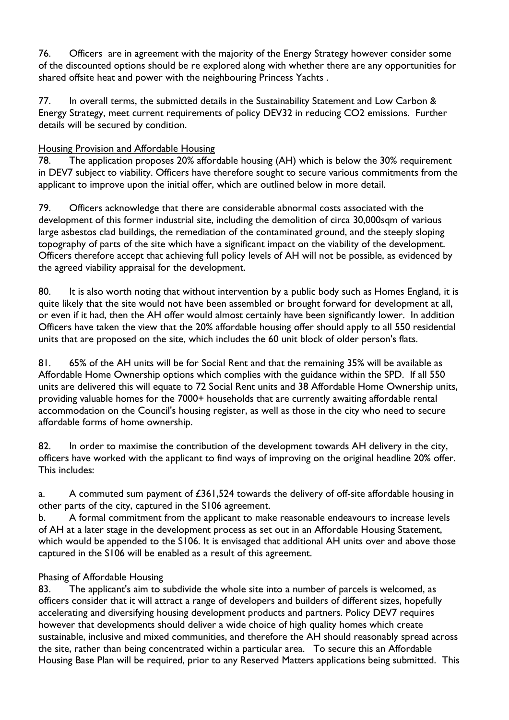76. Officers are in agreement with the majority of the Energy Strategy however consider some of the discounted options should be re explored along with whether there are any opportunities for shared offsite heat and power with the neighbouring Princess Yachts .

77. In overall terms, the submitted details in the Sustainability Statement and Low Carbon & Energy Strategy, meet current requirements of policy DEV32 in reducing CO2 emissions. Further details will be secured by condition.

#### Housing Provision and Affordable Housing

78. The application proposes 20% affordable housing (AH) which is below the 30% requirement in DEV7 subject to viability. Officers have therefore sought to secure various commitments from the applicant to improve upon the initial offer, which are outlined below in more detail.

79. Officers acknowledge that there are considerable abnormal costs associated with the development of this former industrial site, including the demolition of circa 30,000sqm of various large asbestos clad buildings, the remediation of the contaminated ground, and the steeply sloping topography of parts of the site which have a significant impact on the viability of the development. Officers therefore accept that achieving full policy levels of AH will not be possible, as evidenced by the agreed viability appraisal for the development.

80. It is also worth noting that without intervention by a public body such as Homes England, it is quite likely that the site would not have been assembled or brought forward for development at all, or even if it had, then the AH offer would almost certainly have been significantly lower. In addition Officers have taken the view that the 20% affordable housing offer should apply to all 550 residential units that are proposed on the site, which includes the 60 unit block of older person's flats.

81. 65% of the AH units will be for Social Rent and that the remaining 35% will be available as Affordable Home Ownership options which complies with the guidance within the SPD. If all 550 units are delivered this will equate to 72 Social Rent units and 38 Affordable Home Ownership units, providing valuable homes for the 7000+ households that are currently awaiting affordable rental accommodation on the Council's housing register, as well as those in the city who need to secure affordable forms of home ownership.

82. In order to maximise the contribution of the development towards AH delivery in the city, officers have worked with the applicant to find ways of improving on the original headline 20% offer. This includes:

a. A commuted sum payment of £361,524 towards the delivery of off-site affordable housing in other parts of the city, captured in the S106 agreement.

b. A formal commitment from the applicant to make reasonable endeavours to increase levels of AH at a later stage in the development process as set out in an Affordable Housing Statement, which would be appended to the S106. It is envisaged that additional AH units over and above those captured in the S106 will be enabled as a result of this agreement.

#### Phasing of Affordable Housing

83. The applicant's aim to subdivide the whole site into a number of parcels is welcomed, as officers consider that it will attract a range of developers and builders of different sizes, hopefully accelerating and diversifying housing development products and partners. Policy DEV7 requires however that developments should deliver a wide choice of high quality homes which create sustainable, inclusive and mixed communities, and therefore the AH should reasonably spread across the site, rather than being concentrated within a particular area. To secure this an Affordable Housing Base Plan will be required, prior to any Reserved Matters applications being submitted. This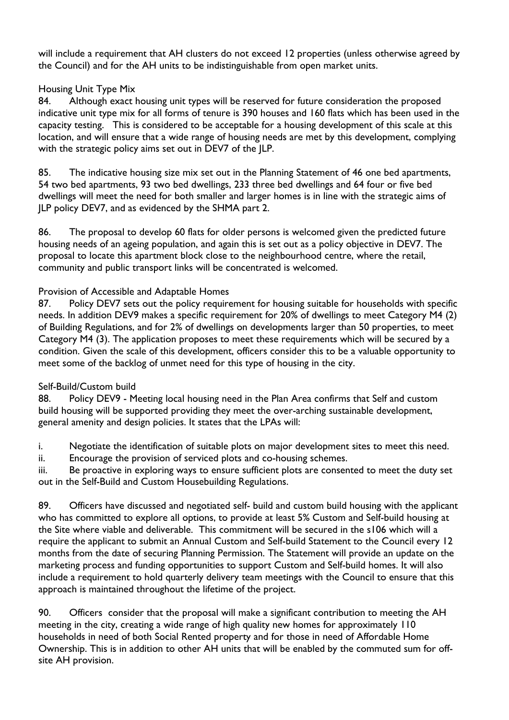will include a requirement that AH clusters do not exceed 12 properties (unless otherwise agreed by the Council) and for the AH units to be indistinguishable from open market units.

#### Housing Unit Type Mix

84. Although exact housing unit types will be reserved for future consideration the proposed indicative unit type mix for all forms of tenure is 390 houses and 160 flats which has been used in the capacity testing. This is considered to be acceptable for a housing development of this scale at this location, and will ensure that a wide range of housing needs are met by this development, complying with the strategic policy aims set out in DEV7 of the JLP.

85. The indicative housing size mix set out in the Planning Statement of 46 one bed apartments, 54 two bed apartments, 93 two bed dwellings, 233 three bed dwellings and 64 four or five bed dwellings will meet the need for both smaller and larger homes is in line with the strategic aims of JLP policy DEV7, and as evidenced by the SHMA part 2.

86. The proposal to develop 60 flats for older persons is welcomed given the predicted future housing needs of an ageing population, and again this is set out as a policy objective in DEV7. The proposal to locate this apartment block close to the neighbourhood centre, where the retail, community and public transport links will be concentrated is welcomed.

#### Provision of Accessible and Adaptable Homes

87. Policy DEV7 sets out the policy requirement for housing suitable for households with specific needs. In addition DEV9 makes a specific requirement for 20% of dwellings to meet Category M4 (2) of Building Regulations, and for 2% of dwellings on developments larger than 50 properties, to meet Category M4 (3). The application proposes to meet these requirements which will be secured by a condition. Given the scale of this development, officers consider this to be a valuable opportunity to meet some of the backlog of unmet need for this type of housing in the city.

#### Self-Build/Custom build

88. Policy DEV9 - Meeting local housing need in the Plan Area confirms that Self and custom build housing will be supported providing they meet the over-arching sustainable development, general amenity and design policies. It states that the LPAs will:

i. Negotiate the identification of suitable plots on major development sites to meet this need.

ii. Encourage the provision of serviced plots and co-housing schemes.

iii. Be proactive in exploring ways to ensure sufficient plots are consented to meet the duty set out in the Self-Build and Custom Housebuilding Regulations.

89. Officers have discussed and negotiated self- build and custom build housing with the applicant who has committed to explore all options, to provide at least 5% Custom and Self-build housing at the Site where viable and deliverable. This commitment will be secured in the s106 which will a require the applicant to submit an Annual Custom and Self-build Statement to the Council every 12 months from the date of securing Planning Permission. The Statement will provide an update on the marketing process and funding opportunities to support Custom and Self-build homes. It will also include a requirement to hold quarterly delivery team meetings with the Council to ensure that this approach is maintained throughout the lifetime of the project.

90. Officers consider that the proposal will make a significant contribution to meeting the AH meeting in the city, creating a wide range of high quality new homes for approximately 110 households in need of both Social Rented property and for those in need of Affordable Home Ownership. This is in addition to other AH units that will be enabled by the commuted sum for offsite AH provision.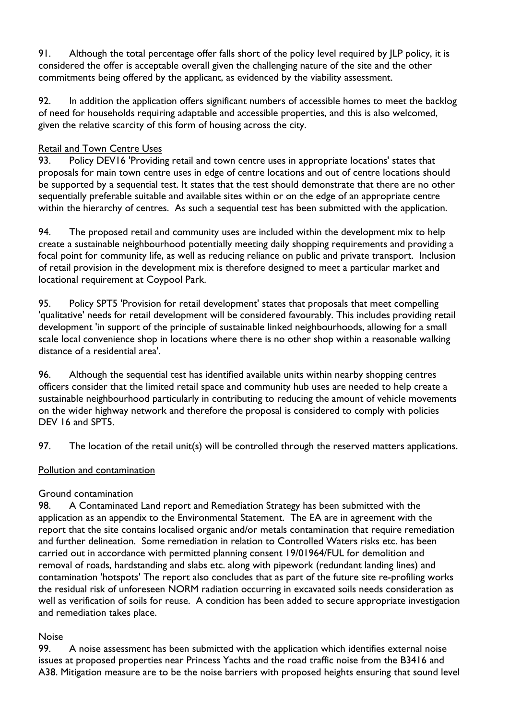91. Although the total percentage offer falls short of the policy level required by JLP policy, it is considered the offer is acceptable overall given the challenging nature of the site and the other commitments being offered by the applicant, as evidenced by the viability assessment.

92. In addition the application offers significant numbers of accessible homes to meet the backlog of need for households requiring adaptable and accessible properties, and this is also welcomed, given the relative scarcity of this form of housing across the city.

#### Retail and Town Centre Uses

93. Policy DEV16 'Providing retail and town centre uses in appropriate locations' states that proposals for main town centre uses in edge of centre locations and out of centre locations should be supported by a sequential test. It states that the test should demonstrate that there are no other sequentially preferable suitable and available sites within or on the edge of an appropriate centre within the hierarchy of centres. As such a sequential test has been submitted with the application.

94. The proposed retail and community uses are included within the development mix to help create a sustainable neighbourhood potentially meeting daily shopping requirements and providing a focal point for community life, as well as reducing reliance on public and private transport. Inclusion of retail provision in the development mix is therefore designed to meet a particular market and locational requirement at Coypool Park.

95. Policy SPT5 'Provision for retail development' states that proposals that meet compelling 'qualitative' needs for retail development will be considered favourably. This includes providing retail development 'in support of the principle of sustainable linked neighbourhoods, allowing for a small scale local convenience shop in locations where there is no other shop within a reasonable walking distance of a residential area'.

96. Although the sequential test has identified available units within nearby shopping centres officers consider that the limited retail space and community hub uses are needed to help create a sustainable neighbourhood particularly in contributing to reducing the amount of vehicle movements on the wider highway network and therefore the proposal is considered to comply with policies DEV 16 and SPT5.

97. The location of the retail unit(s) will be controlled through the reserved matters applications.

#### Pollution and contamination

#### Ground contamination

98. A Contaminated Land report and Remediation Strategy has been submitted with the application as an appendix to the Environmental Statement. The EA are in agreement with the report that the site contains localised organic and/or metals contamination that require remediation and further delineation. Some remediation in relation to Controlled Waters risks etc. has been carried out in accordance with permitted planning consent 19/01964/FUL for demolition and removal of roads, hardstanding and slabs etc. along with pipework (redundant landing lines) and contamination 'hotspots' The report also concludes that as part of the future site re-profiling works the residual risk of unforeseen NORM radiation occurring in excavated soils needs consideration as well as verification of soils for reuse. A condition has been added to secure appropriate investigation and remediation takes place.

#### Noise

99. A noise assessment has been submitted with the application which identifies external noise issues at proposed properties near Princess Yachts and the road traffic noise from the B3416 and A38. Mitigation measure are to be the noise barriers with proposed heights ensuring that sound level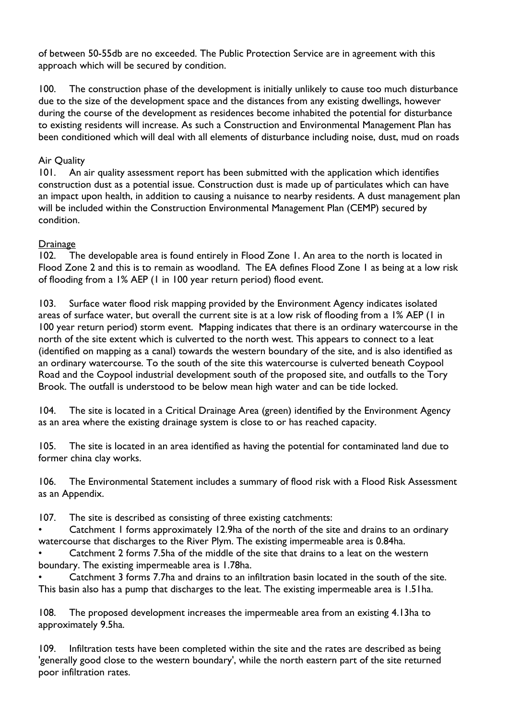of between 50-55db are no exceeded. The Public Protection Service are in agreement with this approach which will be secured by condition.

100. The construction phase of the development is initially unlikely to cause too much disturbance due to the size of the development space and the distances from any existing dwellings, however during the course of the development as residences become inhabited the potential for disturbance to existing residents will increase. As such a Construction and Environmental Management Plan has been conditioned which will deal with all elements of disturbance including noise, dust, mud on roads

#### Air Quality

101. An air quality assessment report has been submitted with the application which identifies construction dust as a potential issue. Construction dust is made up of particulates which can have an impact upon health, in addition to causing a nuisance to nearby residents. A dust management plan will be included within the Construction Environmental Management Plan (CEMP) secured by condition.

#### Drainage

102. The developable area is found entirely in Flood Zone 1. An area to the north is located in Flood Zone 2 and this is to remain as woodland. The EA defines Flood Zone 1 as being at a low risk of flooding from a 1% AEP (1 in 100 year return period) flood event.

103. Surface water flood risk mapping provided by the Environment Agency indicates isolated areas of surface water, but overall the current site is at a low risk of flooding from a 1% AEP (1 in 100 year return period) storm event. Mapping indicates that there is an ordinary watercourse in the north of the site extent which is culverted to the north west. This appears to connect to a leat (identified on mapping as a canal) towards the western boundary of the site, and is also identified as an ordinary watercourse. To the south of the site this watercourse is culverted beneath Coypool Road and the Coypool industrial development south of the proposed site, and outfalls to the Tory Brook. The outfall is understood to be below mean high water and can be tide locked.

104. The site is located in a Critical Drainage Area (green) identified by the Environment Agency as an area where the existing drainage system is close to or has reached capacity.

105. The site is located in an area identified as having the potential for contaminated land due to former china clay works.

106. The Environmental Statement includes a summary of flood risk with a Flood Risk Assessment as an Appendix.

107. The site is described as consisting of three existing catchments:

• Catchment 1 forms approximately 12.9ha of the north of the site and drains to an ordinary watercourse that discharges to the River Plym. The existing impermeable area is 0.84ha.

• Catchment 2 forms 7.5ha of the middle of the site that drains to a leat on the western boundary. The existing impermeable area is 1.78ha.

• Catchment 3 forms 7.7ha and drains to an infiltration basin located in the south of the site. This basin also has a pump that discharges to the leat. The existing impermeable area is 1.51ha.

108. The proposed development increases the impermeable area from an existing 4.13ha to approximately 9.5ha.

109. Infiltration tests have been completed within the site and the rates are described as being 'generally good close to the western boundary', while the north eastern part of the site returned poor infiltration rates.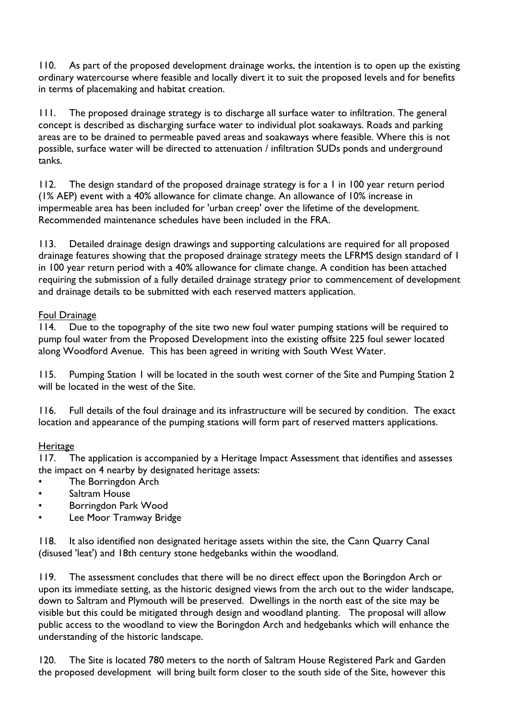110. As part of the proposed development drainage works, the intention is to open up the existing ordinary watercourse where feasible and locally divert it to suit the proposed levels and for benefits in terms of placemaking and habitat creation.

111. The proposed drainage strategy is to discharge all surface water to infiltration. The general concept is described as discharging surface water to individual plot soakaways. Roads and parking areas are to be drained to permeable paved areas and soakaways where feasible. Where this is not possible, surface water will be directed to attenuation / infiltration SUDs ponds and underground tanks.

112. The design standard of the proposed drainage strategy is for a 1 in 100 year return period (1% AEP) event with a 40% allowance for climate change. An allowance of 10% increase in impermeable area has been included for 'urban creep' over the lifetime of the development. Recommended maintenance schedules have been included in the FRA.

113. Detailed drainage design drawings and supporting calculations are required for all proposed drainage features showing that the proposed drainage strategy meets the LFRMS design standard of 1 in 100 year return period with a 40% allowance for climate change. A condition has been attached requiring the submission of a fully detailed drainage strategy prior to commencement of development and drainage details to be submitted with each reserved matters application.

#### Foul Drainage

114. Due to the topography of the site two new foul water pumping stations will be required to pump foul water from the Proposed Development into the existing offsite 225 foul sewer located along Woodford Avenue. This has been agreed in writing with South West Water.

115. Pumping Station 1 will be located in the south west corner of the Site and Pumping Station 2 will be located in the west of the Site.

116. Full details of the foul drainage and its infrastructure will be secured by condition. The exact location and appearance of the pumping stations will form part of reserved matters applications.

#### **Heritage**

117. The application is accompanied by a Heritage Impact Assessment that identifies and assesses the impact on 4 nearby by designated heritage assets:

- The Borringdon Arch
- Saltram House
- Borringdon Park Wood
- Lee Moor Tramway Bridge

118. It also identified non designated heritage assets within the site, the Cann Quarry Canal (disused 'leat') and 18th century stone hedgebanks within the woodland.

119. The assessment concludes that there will be no direct effect upon the Boringdon Arch or upon its immediate setting, as the historic designed views from the arch out to the wider landscape, down to Saltram and Plymouth will be preserved. Dwellings in the north east of the site may be visible but this could be mitigated through design and woodland planting. The proposal will allow public access to the woodland to view the Boringdon Arch and hedgebanks which will enhance the understanding of the historic landscape.

120. The Site is located 780 meters to the north of Saltram House Registered Park and Garden the proposed development will bring built form closer to the south side of the Site, however this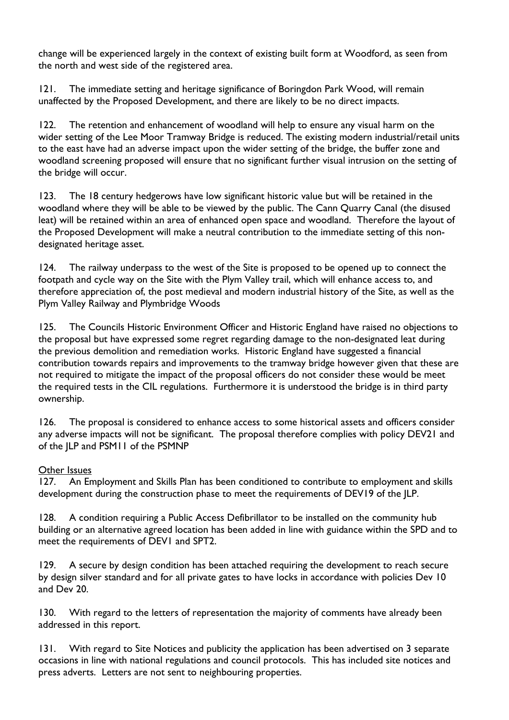change will be experienced largely in the context of existing built form at Woodford, as seen from the north and west side of the registered area.

121. The immediate setting and heritage significance of Boringdon Park Wood, will remain unaffected by the Proposed Development, and there are likely to be no direct impacts.

122. The retention and enhancement of woodland will help to ensure any visual harm on the wider setting of the Lee Moor Tramway Bridge is reduced. The existing modern industrial/retail units to the east have had an adverse impact upon the wider setting of the bridge, the buffer zone and woodland screening proposed will ensure that no significant further visual intrusion on the setting of the bridge will occur.

123. The 18 century hedgerows have low significant historic value but will be retained in the woodland where they will be able to be viewed by the public. The Cann Quarry Canal (the disused leat) will be retained within an area of enhanced open space and woodland. Therefore the layout of the Proposed Development will make a neutral contribution to the immediate setting of this nondesignated heritage asset.

124. The railway underpass to the west of the Site is proposed to be opened up to connect the footpath and cycle way on the Site with the Plym Valley trail, which will enhance access to, and therefore appreciation of, the post medieval and modern industrial history of the Site, as well as the Plym Valley Railway and Plymbridge Woods

125. The Councils Historic Environment Officer and Historic England have raised no objections to the proposal but have expressed some regret regarding damage to the non-designated leat during the previous demolition and remediation works. Historic England have suggested a financial contribution towards repairs and improvements to the tramway bridge however given that these are not required to mitigate the impact of the proposal officers do not consider these would be meet the required tests in the CIL regulations. Furthermore it is understood the bridge is in third party ownership.

126. The proposal is considered to enhance access to some historical assets and officers consider any adverse impacts will not be significant. The proposal therefore complies with policy DEV21 and of the JLP and PSM11 of the PSMNP

#### Other Issues

127. An Employment and Skills Plan has been conditioned to contribute to employment and skills development during the construction phase to meet the requirements of DEV19 of the JLP.

128. A condition requiring a Public Access Defibrillator to be installed on the community hub building or an alternative agreed location has been added in line with guidance within the SPD and to meet the requirements of DEV1 and SPT2.

129. A secure by design condition has been attached requiring the development to reach secure by design silver standard and for all private gates to have locks in accordance with policies Dev 10 and Dev 20.

130. With regard to the letters of representation the majority of comments have already been addressed in this report.

131. With regard to Site Notices and publicity the application has been advertised on 3 separate occasions in line with national regulations and council protocols. This has included site notices and press adverts. Letters are not sent to neighbouring properties.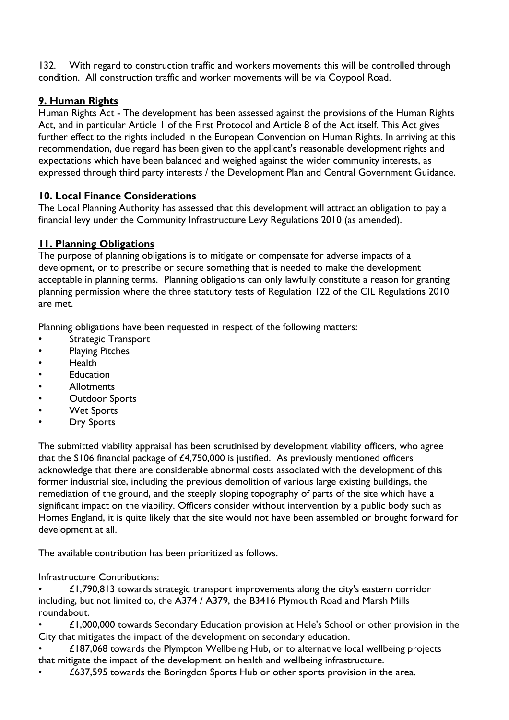132. With regard to construction traffic and workers movements this will be controlled through condition. All construction traffic and worker movements will be via Coypool Road.

#### **9. Human Rights**

Human Rights Act - The development has been assessed against the provisions of the Human Rights Act, and in particular Article 1 of the First Protocol and Article 8 of the Act itself. This Act gives further effect to the rights included in the European Convention on Human Rights. In arriving at this recommendation, due regard has been given to the applicant's reasonable development rights and expectations which have been balanced and weighed against the wider community interests, as expressed through third party interests / the Development Plan and Central Government Guidance.

## **10. Local Finance Considerations**

The Local Planning Authority has assessed that this development will attract an obligation to pay a financial levy under the Community Infrastructure Levy Regulations 2010 (as amended).

## **11. Planning Obligations**

The purpose of planning obligations is to mitigate or compensate for adverse impacts of a development, or to prescribe or secure something that is needed to make the development acceptable in planning terms. Planning obligations can only lawfully constitute a reason for granting planning permission where the three statutory tests of Regulation 122 of the CIL Regulations 2010 are met.

Planning obligations have been requested in respect of the following matters:

- Strategic Transport
- Playing Pitches
- Health
- **Education**
- Allotments
- **Outdoor Sports**
- Wet Sports
- **Dry Sports**

The submitted viability appraisal has been scrutinised by development viability officers, who agree that the S106 financial package of £4,750,000 is justified. As previously mentioned officers acknowledge that there are considerable abnormal costs associated with the development of this former industrial site, including the previous demolition of various large existing buildings, the remediation of the ground, and the steeply sloping topography of parts of the site which have a significant impact on the viability. Officers consider without intervention by a public body such as Homes England, it is quite likely that the site would not have been assembled or brought forward for development at all.

The available contribution has been prioritized as follows.

Infrastructure Contributions:

 $£1,790,813$  towards strategic transport improvements along the city's eastern corridor including, but not limited to, the A374 / A379, the B3416 Plymouth Road and Marsh Mills roundabout.

• £1,000,000 towards Secondary Education provision at Hele's School or other provision in the City that mitigates the impact of the development on secondary education.

• £187,068 towards the Plympton Wellbeing Hub, or to alternative local wellbeing projects that mitigate the impact of the development on health and wellbeing infrastructure.

• £637,595 towards the Boringdon Sports Hub or other sports provision in the area.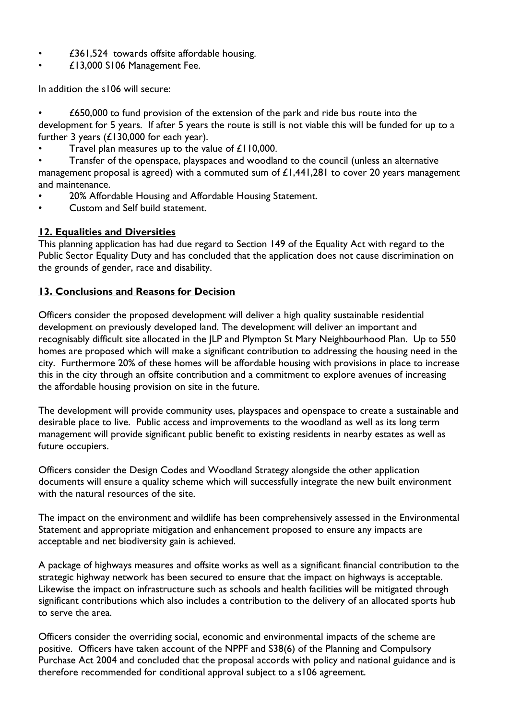- £361,524 towards offsite affordable housing.
- £13,000 S106 Management Fee.

In addition the s106 will secure:

• £650,000 to fund provision of the extension of the park and ride bus route into the development for 5 years. If after 5 years the route is still is not viable this will be funded for up to a further 3 years  $(E130,000$  for each year).

Travel plan measures up to the value of £110,000.

• Transfer of the openspace, playspaces and woodland to the council (unless an alternative management proposal is agreed) with a commuted sum of £1,441,281 to cover 20 years management and maintenance.

- 20% Affordable Housing and Affordable Housing Statement.
- Custom and Self build statement.

#### **12. Equalities and Diversities**

This planning application has had due regard to Section 149 of the Equality Act with regard to the Public Sector Equality Duty and has concluded that the application does not cause discrimination on the grounds of gender, race and disability.

#### **13. Conclusions and Reasons for Decision**

Officers consider the proposed development will deliver a high quality sustainable residential development on previously developed land. The development will deliver an important and recognisably difficult site allocated in the JLP and Plympton St Mary Neighbourhood Plan. Up to 550 homes are proposed which will make a significant contribution to addressing the housing need in the city. Furthermore 20% of these homes will be affordable housing with provisions in place to increase this in the city through an offsite contribution and a commitment to explore avenues of increasing the affordable housing provision on site in the future.

The development will provide community uses, playspaces and openspace to create a sustainable and desirable place to live. Public access and improvements to the woodland as well as its long term management will provide significant public benefit to existing residents in nearby estates as well as future occupiers.

Officers consider the Design Codes and Woodland Strategy alongside the other application documents will ensure a quality scheme which will successfully integrate the new built environment with the natural resources of the site.

The impact on the environment and wildlife has been comprehensively assessed in the Environmental Statement and appropriate mitigation and enhancement proposed to ensure any impacts are acceptable and net biodiversity gain is achieved.

A package of highways measures and offsite works as well as a significant financial contribution to the strategic highway network has been secured to ensure that the impact on highways is acceptable. Likewise the impact on infrastructure such as schools and health facilities will be mitigated through significant contributions which also includes a contribution to the delivery of an allocated sports hub to serve the area.

Officers consider the overriding social, economic and environmental impacts of the scheme are positive. Officers have taken account of the NPPF and S38(6) of the Planning and Compulsory Purchase Act 2004 and concluded that the proposal accords with policy and national guidance and is therefore recommended for conditional approval subject to a s106 agreement.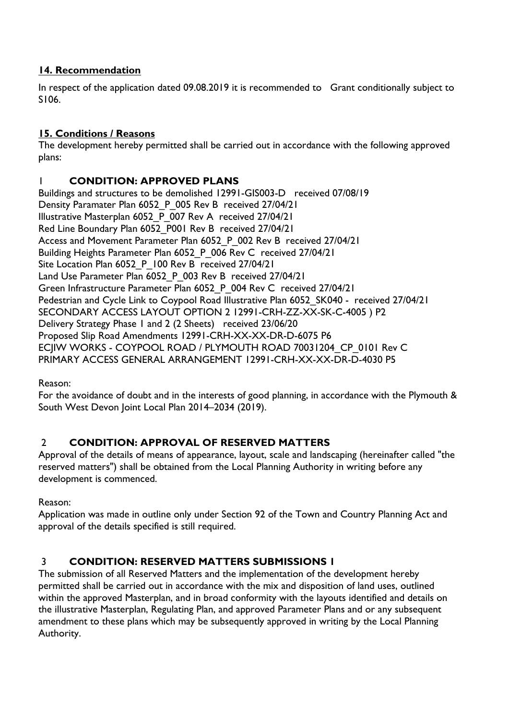#### **14. Recommendation**

In respect of the application dated 09.08.2019 it is recommended to Grant conditionally subject to S106.

#### **15. Conditions / Reasons**

The development hereby permitted shall be carried out in accordance with the following approved plans:

#### 1 **CONDITION: APPROVED PLANS**

Buildings and structures to be demolished 12991-GIS003-D received 07/08/19 Density Paramater Plan 6052\_P\_005 Rev B received 27/04/21 Illustrative Masterplan 6052\_P\_007 Rev A received 27/04/21 Red Line Boundary Plan 6052 P001 Rev B received 27/04/21 Access and Movement Parameter Plan 6052 P 002 Rev B received 27/04/21 Building Heights Parameter Plan 6052 P 006 Rev C received 27/04/21 Site Location Plan 6052\_P\_100 Rev B received 27/04/21 Land Use Parameter Plan 6052 P 003 Rev B received 27/04/21 Green Infrastructure Parameter Plan 6052 P 004 Rev C received 27/04/21 Pedestrian and Cycle Link to Coypool Road Illustrative Plan 6052\_SK040 - received 27/04/21 SECONDARY ACCESS LAYOUT OPTION 2 12991-CRH-ZZ-XX-SK-C-4005 ) P2 Delivery Strategy Phase 1 and 2 (2 Sheets) received 23/06/20 Proposed Slip Road Amendments 12991-CRH-XX-XX-DR-D-6075 P6 ECJIW WORKS - COYPOOL ROAD / PLYMOUTH ROAD 70031204\_CP\_0101 Rev C PRIMARY ACCESS GENERAL ARRANGEMENT 12991-CRH-XX-XX-DR-D-4030 P5

Reason:

For the avoidance of doubt and in the interests of good planning, in accordance with the Plymouth & South West Devon Joint Local Plan 2014–2034 (2019).

#### 2 **CONDITION: APPROVAL OF RESERVED MATTERS**

Approval of the details of means of appearance, layout, scale and landscaping (hereinafter called "the reserved matters") shall be obtained from the Local Planning Authority in writing before any development is commenced.

Reason:

Application was made in outline only under Section 92 of the Town and Country Planning Act and approval of the details specified is still required.

#### 3 **CONDITION: RESERVED MATTERS SUBMISSIONS 1**

The submission of all Reserved Matters and the implementation of the development hereby permitted shall be carried out in accordance with the mix and disposition of land uses, outlined within the approved Masterplan, and in broad conformity with the layouts identified and details on the illustrative Masterplan, Regulating Plan, and approved Parameter Plans and or any subsequent amendment to these plans which may be subsequently approved in writing by the Local Planning Authority.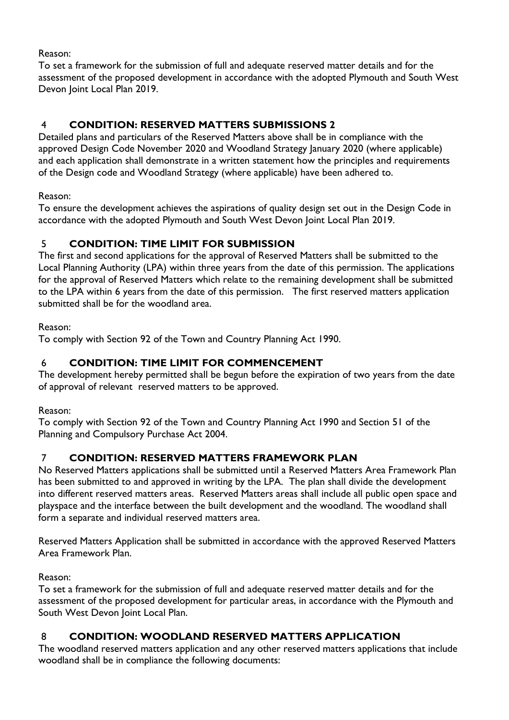Reason:

To set a framework for the submission of full and adequate reserved matter details and for the assessment of the proposed development in accordance with the adopted Plymouth and South West Devon Joint Local Plan 2019.

# 4 **CONDITION: RESERVED MATTERS SUBMISSIONS 2**

Detailed plans and particulars of the Reserved Matters above shall be in compliance with the approved Design Code November 2020 and Woodland Strategy January 2020 (where applicable) and each application shall demonstrate in a written statement how the principles and requirements of the Design code and Woodland Strategy (where applicable) have been adhered to.

Reason:

To ensure the development achieves the aspirations of quality design set out in the Design Code in accordance with the adopted Plymouth and South West Devon Joint Local Plan 2019.

## 5 **CONDITION: TIME LIMIT FOR SUBMISSION**

The first and second applications for the approval of Reserved Matters shall be submitted to the Local Planning Authority (LPA) within three years from the date of this permission. The applications for the approval of Reserved Matters which relate to the remaining development shall be submitted to the LPA within 6 years from the date of this permission. The first reserved matters application submitted shall be for the woodland area.

Reason:

To comply with Section 92 of the Town and Country Planning Act 1990.

## 6 **CONDITION: TIME LIMIT FOR COMMENCEMENT**

The development hereby permitted shall be begun before the expiration of two years from the date of approval of relevant reserved matters to be approved.

Reason:

To comply with Section 92 of the Town and Country Planning Act 1990 and Section 51 of the Planning and Compulsory Purchase Act 2004.

## 7 **CONDITION: RESERVED MATTERS FRAMEWORK PLAN**

No Reserved Matters applications shall be submitted until a Reserved Matters Area Framework Plan has been submitted to and approved in writing by the LPA. The plan shall divide the development into different reserved matters areas. Reserved Matters areas shall include all public open space and playspace and the interface between the built development and the woodland. The woodland shall form a separate and individual reserved matters area.

Reserved Matters Application shall be submitted in accordance with the approved Reserved Matters Area Framework Plan.

Reason:

To set a framework for the submission of full and adequate reserved matter details and for the assessment of the proposed development for particular areas, in accordance with the Plymouth and South West Devon Joint Local Plan.

## 8 **CONDITION: WOODLAND RESERVED MATTERS APPLICATION**

The woodland reserved matters application and any other reserved matters applications that include woodland shall be in compliance the following documents: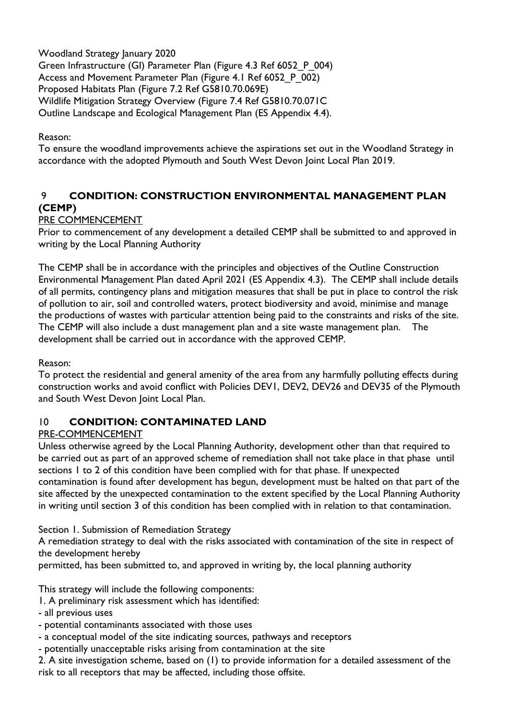Woodland Strategy January 2020 Green Infrastructure (GI) Parameter Plan (Figure 4.3 Ref 6052\_P\_004) Access and Movement Parameter Plan (Figure 4.1 Ref 6052 P 002) Proposed Habitats Plan (Figure 7.2 Ref G5810.70.069E) Wildlife Mitigation Strategy Overview (Figure 7.4 Ref G5810.70.071C Outline Landscape and Ecological Management Plan (ES Appendix 4.4).

Reason:

To ensure the woodland improvements achieve the aspirations set out in the Woodland Strategy in accordance with the adopted Plymouth and South West Devon Joint Local Plan 2019.

## 9 **CONDITION: CONSTRUCTION ENVIRONMENTAL MANAGEMENT PLAN (CEMP)**

## PRE COMMENCEMENT

Prior to commencement of any development a detailed CEMP shall be submitted to and approved in writing by the Local Planning Authority

The CEMP shall be in accordance with the principles and objectives of the Outline Construction Environmental Management Plan dated April 2021 (ES Appendix 4.3). The CEMP shall include details of all permits, contingency plans and mitigation measures that shall be put in place to control the risk of pollution to air, soil and controlled waters, protect biodiversity and avoid, minimise and manage the productions of wastes with particular attention being paid to the constraints and risks of the site. The CEMP will also include a dust management plan and a site waste management plan. The development shall be carried out in accordance with the approved CEMP.

Reason:

To protect the residential and general amenity of the area from any harmfully polluting effects during construction works and avoid conflict with Policies DEV1, DEV2, DEV26 and DEV35 of the Plymouth and South West Devon Joint Local Plan.

#### 10 **CONDITION: CONTAMINATED LAND**

#### PRE-COMMENCEMENT

Unless otherwise agreed by the Local Planning Authority, development other than that required to be carried out as part of an approved scheme of remediation shall not take place in that phase until sections 1 to 2 of this condition have been complied with for that phase. If unexpected contamination is found after development has begun, development must be halted on that part of the site affected by the unexpected contamination to the extent specified by the Local Planning Authority in writing until section 3 of this condition has been complied with in relation to that contamination.

Section 1. Submission of Remediation Strategy

A remediation strategy to deal with the risks associated with contamination of the site in respect of the development hereby

permitted, has been submitted to, and approved in writing by, the local planning authority

This strategy will include the following components:

1. A preliminary risk assessment which has identified:

- all previous uses

- potential contaminants associated with those uses
- a conceptual model of the site indicating sources, pathways and receptors

- potentially unacceptable risks arising from contamination at the site

2. A site investigation scheme, based on (1) to provide information for a detailed assessment of the risk to all receptors that may be affected, including those offsite.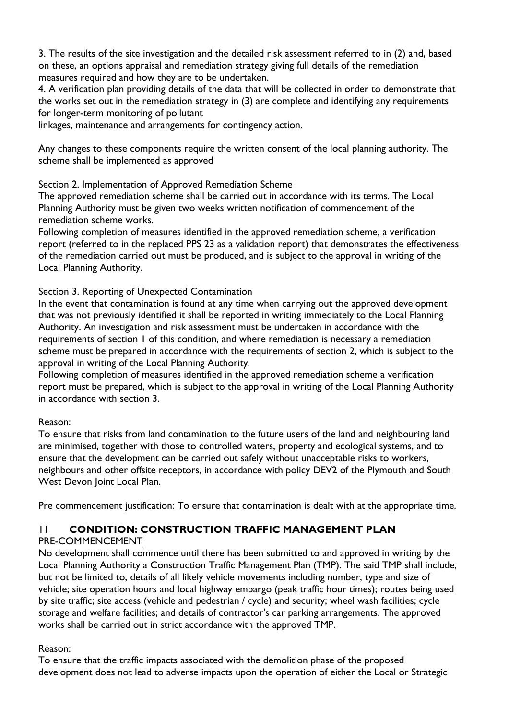3. The results of the site investigation and the detailed risk assessment referred to in (2) and, based on these, an options appraisal and remediation strategy giving full details of the remediation measures required and how they are to be undertaken.

4. A verification plan providing details of the data that will be collected in order to demonstrate that the works set out in the remediation strategy in (3) are complete and identifying any requirements for longer-term monitoring of pollutant

linkages, maintenance and arrangements for contingency action.

Any changes to these components require the written consent of the local planning authority. The scheme shall be implemented as approved

Section 2. Implementation of Approved Remediation Scheme

The approved remediation scheme shall be carried out in accordance with its terms. The Local Planning Authority must be given two weeks written notification of commencement of the remediation scheme works.

Following completion of measures identified in the approved remediation scheme, a verification report (referred to in the replaced PPS 23 as a validation report) that demonstrates the effectiveness of the remediation carried out must be produced, and is subject to the approval in writing of the Local Planning Authority.

Section 3. Reporting of Unexpected Contamination

In the event that contamination is found at any time when carrying out the approved development that was not previously identified it shall be reported in writing immediately to the Local Planning Authority. An investigation and risk assessment must be undertaken in accordance with the requirements of section 1 of this condition, and where remediation is necessary a remediation scheme must be prepared in accordance with the requirements of section 2, which is subject to the approval in writing of the Local Planning Authority.

Following completion of measures identified in the approved remediation scheme a verification report must be prepared, which is subject to the approval in writing of the Local Planning Authority in accordance with section 3.

#### Reason:

To ensure that risks from land contamination to the future users of the land and neighbouring land are minimised, together with those to controlled waters, property and ecological systems, and to ensure that the development can be carried out safely without unacceptable risks to workers, neighbours and other offsite receptors, in accordance with policy DEV2 of the Plymouth and South West Devon Joint Local Plan.

Pre commencement justification: To ensure that contamination is dealt with at the appropriate time.

## 11 **CONDITION: CONSTRUCTION TRAFFIC MANAGEMENT PLAN**

#### PRE-COMMENCEMENT

No development shall commence until there has been submitted to and approved in writing by the Local Planning Authority a Construction Traffic Management Plan (TMP). The said TMP shall include, but not be limited to, details of all likely vehicle movements including number, type and size of vehicle; site operation hours and local highway embargo (peak traffic hour times); routes being used by site traffic; site access (vehicle and pedestrian / cycle) and security; wheel wash facilities; cycle storage and welfare facilities; and details of contractor's car parking arrangements. The approved works shall be carried out in strict accordance with the approved TMP.

#### Reason:

To ensure that the traffic impacts associated with the demolition phase of the proposed development does not lead to adverse impacts upon the operation of either the Local or Strategic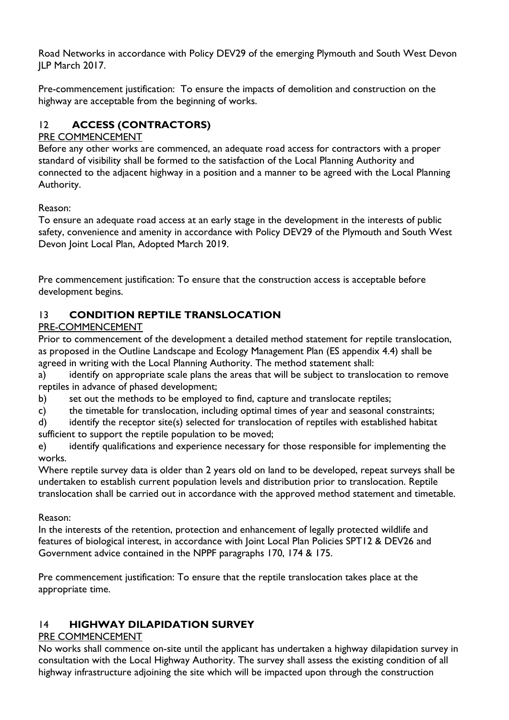Road Networks in accordance with Policy DEV29 of the emerging Plymouth and South West Devon JLP March 2017.

Pre-commencement justification: To ensure the impacts of demolition and construction on the highway are acceptable from the beginning of works.

## 12 **ACCESS (CONTRACTORS)**

#### PRE COMMENCEMENT

Before any other works are commenced, an adequate road access for contractors with a proper standard of visibility shall be formed to the satisfaction of the Local Planning Authority and connected to the adjacent highway in a position and a manner to be agreed with the Local Planning Authority.

Reason:

To ensure an adequate road access at an early stage in the development in the interests of public safety, convenience and amenity in accordance with Policy DEV29 of the Plymouth and South West Devon Joint Local Plan, Adopted March 2019.

Pre commencement justification: To ensure that the construction access is acceptable before development begins.

## 13 **CONDITION REPTILE TRANSLOCATION**

#### PRE-COMMENCEMENT

Prior to commencement of the development a detailed method statement for reptile translocation, as proposed in the Outline Landscape and Ecology Management Plan (ES appendix 4.4) shall be agreed in writing with the Local Planning Authority. The method statement shall:

a) identify on appropriate scale plans the areas that will be subject to translocation to remove reptiles in advance of phased development;

b) set out the methods to be employed to find, capture and translocate reptiles;

c) the timetable for translocation, including optimal times of year and seasonal constraints;

d) identify the receptor site(s) selected for translocation of reptiles with established habitat sufficient to support the reptile population to be moved;

e) identify qualifications and experience necessary for those responsible for implementing the works.

Where reptile survey data is older than 2 years old on land to be developed, repeat surveys shall be undertaken to establish current population levels and distribution prior to translocation. Reptile translocation shall be carried out in accordance with the approved method statement and timetable.

Reason:

In the interests of the retention, protection and enhancement of legally protected wildlife and features of biological interest, in accordance with Joint Local Plan Policies SPT12 & DEV26 and Government advice contained in the NPPF paragraphs 170, 174 & 175.

Pre commencement justification: To ensure that the reptile translocation takes place at the appropriate time.

## 14 **HIGHWAY DILAPIDATION SURVEY**

#### PRE COMMENCEMENT

No works shall commence on-site until the applicant has undertaken a highway dilapidation survey in consultation with the Local Highway Authority. The survey shall assess the existing condition of all highway infrastructure adjoining the site which will be impacted upon through the construction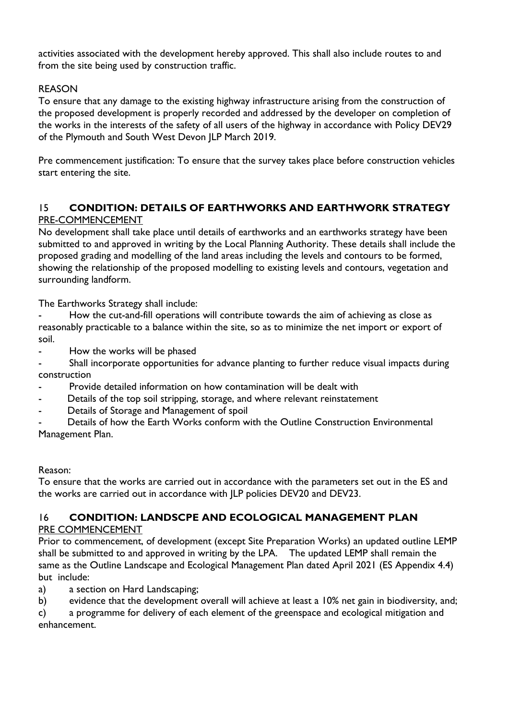activities associated with the development hereby approved. This shall also include routes to and from the site being used by construction traffic.

#### REASON

To ensure that any damage to the existing highway infrastructure arising from the construction of the proposed development is properly recorded and addressed by the developer on completion of the works in the interests of the safety of all users of the highway in accordance with Policy DEV29 of the Plymouth and South West Devon JLP March 2019.

Pre commencement justification: To ensure that the survey takes place before construction vehicles start entering the site.

#### 15 **CONDITION: DETAILS OF EARTHWORKS AND EARTHWORK STRATEGY** PRE-COMMENCEMENT

No development shall take place until details of earthworks and an earthworks strategy have been submitted to and approved in writing by the Local Planning Authority. These details shall include the proposed grading and modelling of the land areas including the levels and contours to be formed, showing the relationship of the proposed modelling to existing levels and contours, vegetation and surrounding landform.

The Earthworks Strategy shall include:

How the cut-and-fill operations will contribute towards the aim of achieving as close as reasonably practicable to a balance within the site, so as to minimize the net import or export of soil.

- How the works will be phased

Shall incorporate opportunities for advance planting to further reduce visual impacts during construction

- Provide detailed information on how contamination will be dealt with
- Details of the top soil stripping, storage, and where relevant reinstatement
- Details of Storage and Management of spoil

Details of how the Earth Works conform with the Outline Construction Environmental Management Plan.

#### Reason:

To ensure that the works are carried out in accordance with the parameters set out in the ES and the works are carried out in accordance with JLP policies DEV20 and DEV23.

#### 16 **CONDITION: LANDSCPE AND ECOLOGICAL MANAGEMENT PLAN** PRE COMMENCEMENT

Prior to commencement, of development (except Site Preparation Works) an updated outline LEMP shall be submitted to and approved in writing by the LPA. The updated LEMP shall remain the same as the Outline Landscape and Ecological Management Plan dated April 2021 (ES Appendix 4.4) but include:

a) a section on Hard Landscaping;

b) evidence that the development overall will achieve at least a 10% net gain in biodiversity, and;

c) a programme for delivery of each element of the greenspace and ecological mitigation and enhancement.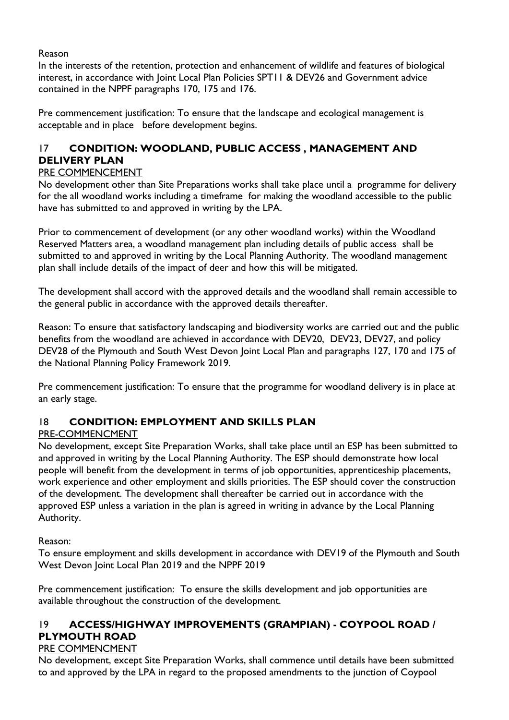#### Reason

In the interests of the retention, protection and enhancement of wildlife and features of biological interest, in accordance with Joint Local Plan Policies SPT11 & DEV26 and Government advice contained in the NPPF paragraphs 170, 175 and 176.

Pre commencement justification: To ensure that the landscape and ecological management is acceptable and in place before development begins.

# 17 **CONDITION: WOODLAND, PUBLIC ACCESS , MANAGEMENT AND DELIVERY PLAN**

#### PRE COMMENCEMENT

No development other than Site Preparations works shall take place until a programme for delivery for the all woodland works including a timeframe for making the woodland accessible to the public have has submitted to and approved in writing by the LPA.

Prior to commencement of development (or any other woodland works) within the Woodland Reserved Matters area, a woodland management plan including details of public access shall be submitted to and approved in writing by the Local Planning Authority. The woodland management plan shall include details of the impact of deer and how this will be mitigated.

The development shall accord with the approved details and the woodland shall remain accessible to the general public in accordance with the approved details thereafter.

Reason: To ensure that satisfactory landscaping and biodiversity works are carried out and the public benefits from the woodland are achieved in accordance with DEV20, DEV23, DEV27, and policy DEV28 of the Plymouth and South West Devon Joint Local Plan and paragraphs 127, 170 and 175 of the National Planning Policy Framework 2019.

Pre commencement justification: To ensure that the programme for woodland delivery is in place at an early stage.

#### 18 **CONDITION: EMPLOYMENT AND SKILLS PLAN**

#### PRE-COMMENCMENT

No development, except Site Preparation Works, shall take place until an ESP has been submitted to and approved in writing by the Local Planning Authority. The ESP should demonstrate how local people will benefit from the development in terms of job opportunities, apprenticeship placements, work experience and other employment and skills priorities. The ESP should cover the construction of the development. The development shall thereafter be carried out in accordance with the approved ESP unless a variation in the plan is agreed in writing in advance by the Local Planning Authority.

Reason:

To ensure employment and skills development in accordance with DEV19 of the Plymouth and South West Devon Joint Local Plan 2019 and the NPPF 2019

Pre commencement justification: To ensure the skills development and job opportunities are available throughout the construction of the development.

## 19 **ACCESS/HIGHWAY IMPROVEMENTS (GRAMPIAN) - COYPOOL ROAD / PLYMOUTH ROAD**

#### PRE COMMENCMENT

No development, except Site Preparation Works, shall commence until details have been submitted to and approved by the LPA in regard to the proposed amendments to the junction of Coypool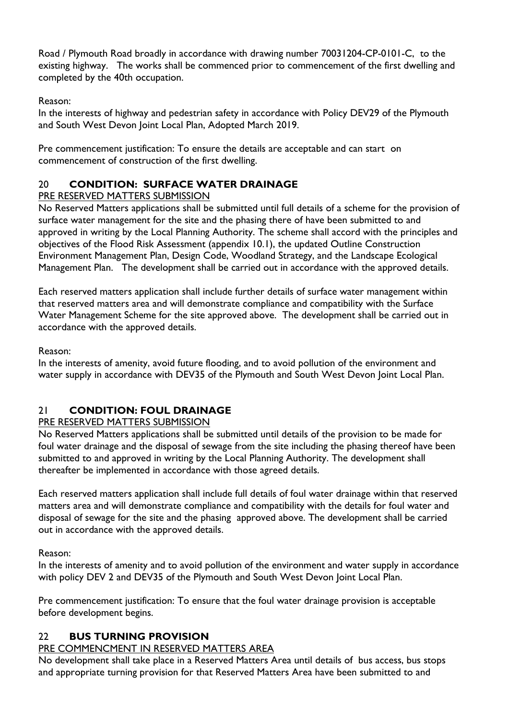Road / Plymouth Road broadly in accordance with drawing number 70031204-CP-0101-C, to the existing highway. The works shall be commenced prior to commencement of the first dwelling and completed by the 40th occupation.

Reason:

In the interests of highway and pedestrian safety in accordance with Policy DEV29 of the Plymouth and South West Devon Joint Local Plan, Adopted March 2019.

Pre commencement justification: To ensure the details are acceptable and can start on commencement of construction of the first dwelling.

## 20 **CONDITION: SURFACE WATER DRAINAGE**

PRE RESERVED MATTERS SUBMISSION

No Reserved Matters applications shall be submitted until full details of a scheme for the provision of surface water management for the site and the phasing there of have been submitted to and approved in writing by the Local Planning Authority. The scheme shall accord with the principles and objectives of the Flood Risk Assessment (appendix 10.1), the updated Outline Construction Environment Management Plan, Design Code, Woodland Strategy, and the Landscape Ecological Management Plan. The development shall be carried out in accordance with the approved details.

Each reserved matters application shall include further details of surface water management within that reserved matters area and will demonstrate compliance and compatibility with the Surface Water Management Scheme for the site approved above. The development shall be carried out in accordance with the approved details.

Reason:

In the interests of amenity, avoid future flooding, and to avoid pollution of the environment and water supply in accordance with DEV35 of the Plymouth and South West Devon Joint Local Plan.

## 21 **CONDITION: FOUL DRAINAGE**

#### PRE RESERVED MATTERS SUBMISSION

No Reserved Matters applications shall be submitted until details of the provision to be made for foul water drainage and the disposal of sewage from the site including the phasing thereof have been submitted to and approved in writing by the Local Planning Authority. The development shall thereafter be implemented in accordance with those agreed details.

Each reserved matters application shall include full details of foul water drainage within that reserved matters area and will demonstrate compliance and compatibility with the details for foul water and disposal of sewage for the site and the phasing approved above. The development shall be carried out in accordance with the approved details.

Reason:

In the interests of amenity and to avoid pollution of the environment and water supply in accordance with policy DEV 2 and DEV35 of the Plymouth and South West Devon Joint Local Plan.

Pre commencement justification: To ensure that the foul water drainage provision is acceptable before development begins.

## 22 **BUS TURNING PROVISION**

#### PRE COMMENCMENT IN RESERVED MATTERS AREA

No development shall take place in a Reserved Matters Area until details of bus access, bus stops and appropriate turning provision for that Reserved Matters Area have been submitted to and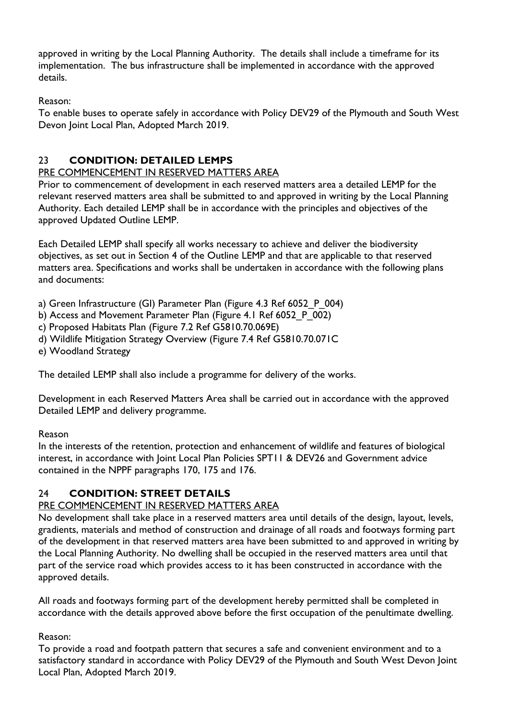approved in writing by the Local Planning Authority. The details shall include a timeframe for its implementation. The bus infrastructure shall be implemented in accordance with the approved details.

Reason:

To enable buses to operate safely in accordance with Policy DEV29 of the Plymouth and South West Devon Joint Local Plan, Adopted March 2019.

## 23 **CONDITION: DETAILED LEMPS**

#### PRE COMMENCEMENT IN RESERVED MATTERS AREA

Prior to commencement of development in each reserved matters area a detailed LEMP for the relevant reserved matters area shall be submitted to and approved in writing by the Local Planning Authority. Each detailed LEMP shall be in accordance with the principles and objectives of the approved Updated Outline LEMP.

Each Detailed LEMP shall specify all works necessary to achieve and deliver the biodiversity objectives, as set out in Section 4 of the Outline LEMP and that are applicable to that reserved matters area. Specifications and works shall be undertaken in accordance with the following plans and documents:

- a) Green Infrastructure (GI) Parameter Plan (Figure 4.3 Ref 6052\_P\_004)
- b) Access and Movement Parameter Plan (Figure 4.1 Ref 6052 P 002)
- c) Proposed Habitats Plan (Figure 7.2 Ref G5810.70.069E)
- d) Wildlife Mitigation Strategy Overview (Figure 7.4 Ref G5810.70.071C
- e) Woodland Strategy

The detailed LEMP shall also include a programme for delivery of the works.

Development in each Reserved Matters Area shall be carried out in accordance with the approved Detailed LEMP and delivery programme.

#### Reason

In the interests of the retention, protection and enhancement of wildlife and features of biological interest, in accordance with Joint Local Plan Policies SPT11 & DEV26 and Government advice contained in the NPPF paragraphs 170, 175 and 176.

## 24 **CONDITION: STREET DETAILS**

#### PRE COMMENCEMENT IN RESERVED MATTERS AREA

No development shall take place in a reserved matters area until details of the design, layout, levels, gradients, materials and method of construction and drainage of all roads and footways forming part of the development in that reserved matters area have been submitted to and approved in writing by the Local Planning Authority. No dwelling shall be occupied in the reserved matters area until that part of the service road which provides access to it has been constructed in accordance with the approved details.

All roads and footways forming part of the development hereby permitted shall be completed in accordance with the details approved above before the first occupation of the penultimate dwelling.

#### Reason:

To provide a road and footpath pattern that secures a safe and convenient environment and to a satisfactory standard in accordance with Policy DEV29 of the Plymouth and South West Devon Joint Local Plan, Adopted March 2019.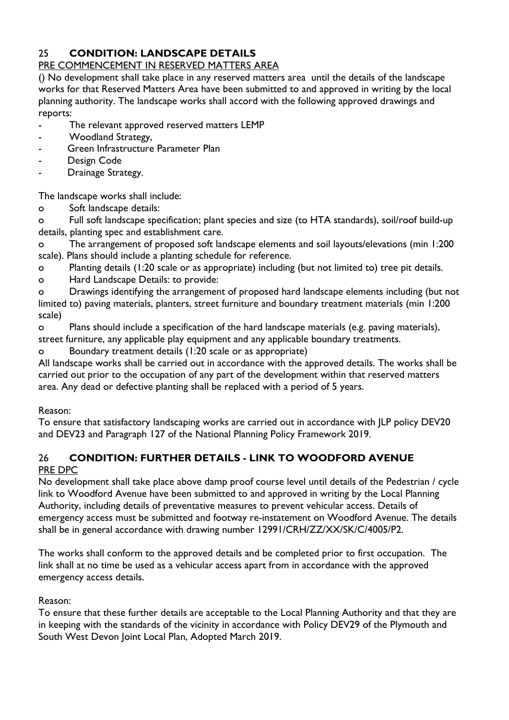## 25 **CONDITION: LANDSCAPE DETAILS**

#### PRE COMMENCEMENT IN RESERVED MATTERS AREA

() No development shall take place in any reserved matters area until the details of the landscape works for that Reserved Matters Area have been submitted to and approved in writing by the local planning authority. The landscape works shall accord with the following approved drawings and reports:

- The relevant approved reserved matters LEMP
- Woodland Strategy,
- Green Infrastructure Parameter Plan
- Design Code
- Drainage Strategy.

The landscape works shall include:

o Soft landscape details:

o Full soft landscape specification; plant species and size (to HTA standards), soil/roof build-up details, planting spec and establishment care.

o The arrangement of proposed soft landscape elements and soil layouts/elevations (min 1:200 scale). Plans should include a planting schedule for reference.

o Planting details (1:20 scale or as appropriate) including (but not limited to) tree pit details.

o Hard Landscape Details: to provide:

o Drawings identifying the arrangement of proposed hard landscape elements including (but not limited to) paving materials, planters, street furniture and boundary treatment materials (min 1:200 scale)

o Plans should include a specification of the hard landscape materials (e.g. paving materials), street furniture, any applicable play equipment and any applicable boundary treatments.

o Boundary treatment details (1:20 scale or as appropriate)

All landscape works shall be carried out in accordance with the approved details. The works shall be carried out prior to the occupation of any part of the development within that reserved matters area. Any dead or defective planting shall be replaced with a period of 5 years.

#### Reason:

To ensure that satisfactory landscaping works are carried out in accordance with JLP policy DEV20 and DEV23 and Paragraph 127 of the National Planning Policy Framework 2019.

#### 26 **CONDITION: FURTHER DETAILS - LINK TO WOODFORD AVENUE** PRE DPC

No development shall take place above damp proof course level until details of the Pedestrian / cycle link to Woodford Avenue have been submitted to and approved in writing by the Local Planning Authority, including details of preventative measures to prevent vehicular access. Details of emergency access must be submitted and footway re-instatement on Woodford Avenue. The details shall be in general accordance with drawing number 12991/CRH/ZZ/XX/SK/C/4005/P2.

The works shall conform to the approved details and be completed prior to first occupation. The link shall at no time be used as a vehicular access apart from in accordance with the approved emergency access details.

#### Reason:

To ensure that these further details are acceptable to the Local Planning Authority and that they are in keeping with the standards of the vicinity in accordance with Policy DEV29 of the Plymouth and South West Devon Joint Local Plan, Adopted March 2019.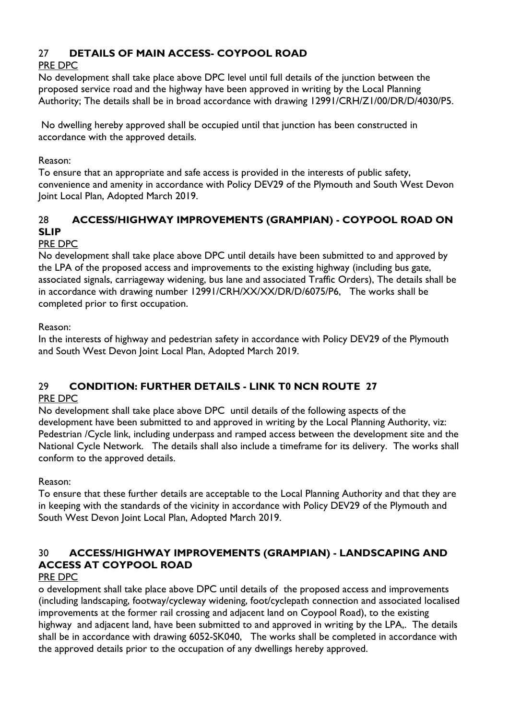## 27 **DETAILS OF MAIN ACCESS- COYPOOL ROAD**

## PRE DPC

No development shall take place above DPC level until full details of the junction between the proposed service road and the highway have been approved in writing by the Local Planning Authority; The details shall be in broad accordance with drawing 12991/CRH/Z1/00/DR/D/4030/P5.

No dwelling hereby approved shall be occupied until that junction has been constructed in accordance with the approved details.

#### Reason:

To ensure that an appropriate and safe access is provided in the interests of public safety, convenience and amenity in accordance with Policy DEV29 of the Plymouth and South West Devon Joint Local Plan, Adopted March 2019.

## 28 **ACCESS/HIGHWAY IMPROVEMENTS (GRAMPIAN) - COYPOOL ROAD ON SLIP**

#### PRE DPC

No development shall take place above DPC until details have been submitted to and approved by the LPA of the proposed access and improvements to the existing highway (including bus gate, associated signals, carriageway widening, bus lane and associated Traffic Orders), The details shall be in accordance with drawing number 12991/CRH/XX/XX/DR/D/6075/P6, The works shall be completed prior to first occupation.

#### Reason:

In the interests of highway and pedestrian safety in accordance with Policy DEV29 of the Plymouth and South West Devon Joint Local Plan, Adopted March 2019.

# 29 **CONDITION: FURTHER DETAILS - LINK T0 NCN ROUTE 27**

#### PRE DPC

No development shall take place above DPC until details of the following aspects of the development have been submitted to and approved in writing by the Local Planning Authority, viz: Pedestrian /Cycle link, including underpass and ramped access between the development site and the National Cycle Network. The details shall also include a timeframe for its delivery. The works shall conform to the approved details.

Reason:

To ensure that these further details are acceptable to the Local Planning Authority and that they are in keeping with the standards of the vicinity in accordance with Policy DEV29 of the Plymouth and South West Devon Joint Local Plan, Adopted March 2019.

# 30 **ACCESS/HIGHWAY IMPROVEMENTS (GRAMPIAN) - LANDSCAPING AND ACCESS AT COYPOOL ROAD**

#### PRE DPC

o development shall take place above DPC until details of the proposed access and improvements (including landscaping, footway/cycleway widening, foot/cyclepath connection and associated localised improvements at the former rail crossing and adjacent land on Coypool Road), to the existing highway and adjacent land, have been submitted to and approved in writing by the LPA,. The details shall be in accordance with drawing 6052-SK040, The works shall be completed in accordance with the approved details prior to the occupation of any dwellings hereby approved.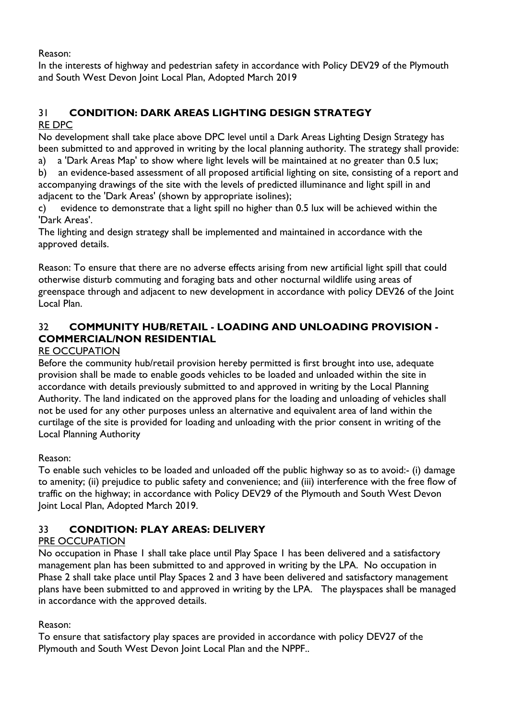Reason:

In the interests of highway and pedestrian safety in accordance with Policy DEV29 of the Plymouth and South West Devon Joint Local Plan, Adopted March 2019

#### 31 **CONDITION: DARK AREAS LIGHTING DESIGN STRATEGY** RE DPC

No development shall take place above DPC level until a Dark Areas Lighting Design Strategy has been submitted to and approved in writing by the local planning authority. The strategy shall provide:

- a) a 'Dark Areas Map' to show where light levels will be maintained at no greater than 0.5 lux;
- b) an evidence-based assessment of all proposed artificial lighting on site, consisting of a report and accompanying drawings of the site with the levels of predicted illuminance and light spill in and adjacent to the 'Dark Areas' (shown by appropriate isolines);
- c) evidence to demonstrate that a light spill no higher than 0.5 lux will be achieved within the 'Dark Areas'.

The lighting and design strategy shall be implemented and maintained in accordance with the approved details.

Reason: To ensure that there are no adverse effects arising from new artificial light spill that could otherwise disturb commuting and foraging bats and other nocturnal wildlife using areas of greenspace through and adjacent to new development in accordance with policy DEV26 of the Joint Local Plan.

## 32 **COMMUNITY HUB/RETAIL - LOADING AND UNLOADING PROVISION - COMMERCIAL/NON RESIDENTIAL**

#### RE OCCUPATION

Before the community hub/retail provision hereby permitted is first brought into use, adequate provision shall be made to enable goods vehicles to be loaded and unloaded within the site in accordance with details previously submitted to and approved in writing by the Local Planning Authority. The land indicated on the approved plans for the loading and unloading of vehicles shall not be used for any other purposes unless an alternative and equivalent area of land within the curtilage of the site is provided for loading and unloading with the prior consent in writing of the Local Planning Authority

#### Reason:

To enable such vehicles to be loaded and unloaded off the public highway so as to avoid:- (i) damage to amenity; (ii) prejudice to public safety and convenience; and (iii) interference with the free flow of traffic on the highway; in accordance with Policy DEV29 of the Plymouth and South West Devon Joint Local Plan, Adopted March 2019.

## 33 **CONDITION: PLAY AREAS: DELIVERY**

## PRE OCCUPATION

No occupation in Phase 1 shall take place until Play Space 1 has been delivered and a satisfactory management plan has been submitted to and approved in writing by the LPA. No occupation in Phase 2 shall take place until Play Spaces 2 and 3 have been delivered and satisfactory management plans have been submitted to and approved in writing by the LPA. The playspaces shall be managed in accordance with the approved details.

#### Reason:

To ensure that satisfactory play spaces are provided in accordance with policy DEV27 of the Plymouth and South West Devon Joint Local Plan and the NPPF..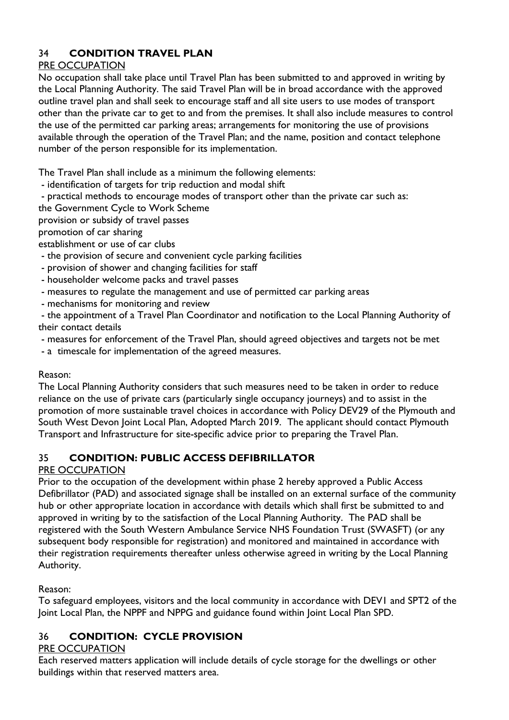## 34 **CONDITION TRAVEL PLAN**

## PRE OCCUPATION

No occupation shall take place until Travel Plan has been submitted to and approved in writing by the Local Planning Authority. The said Travel Plan will be in broad accordance with the approved outline travel plan and shall seek to encourage staff and all site users to use modes of transport other than the private car to get to and from the premises. It shall also include measures to control the use of the permitted car parking areas; arrangements for monitoring the use of provisions available through the operation of the Travel Plan; and the name, position and contact telephone number of the person responsible for its implementation.

The Travel Plan shall include as a minimum the following elements:

- identification of targets for trip reduction and modal shift
- practical methods to encourage modes of transport other than the private car such as:
- the Government Cycle to Work Scheme
- provision or subsidy of travel passes
- promotion of car sharing

establishment or use of car clubs

- the provision of secure and convenient cycle parking facilities
- provision of shower and changing facilities for staff
- householder welcome packs and travel passes
- measures to regulate the management and use of permitted car parking areas
- mechanisms for monitoring and review

- the appointment of a Travel Plan Coordinator and notification to the Local Planning Authority of their contact details

- measures for enforcement of the Travel Plan, should agreed objectives and targets not be met
- a timescale for implementation of the agreed measures.

#### Reason:

The Local Planning Authority considers that such measures need to be taken in order to reduce reliance on the use of private cars (particularly single occupancy journeys) and to assist in the promotion of more sustainable travel choices in accordance with Policy DEV29 of the Plymouth and South West Devon Joint Local Plan, Adopted March 2019. The applicant should contact Plymouth Transport and Infrastructure for site-specific advice prior to preparing the Travel Plan.

## 35 **CONDITION: PUBLIC ACCESS DEFIBRILLATOR**

#### PRE OCCUPATION

Prior to the occupation of the development within phase 2 hereby approved a Public Access Defibrillator (PAD) and associated signage shall be installed on an external surface of the community hub or other appropriate location in accordance with details which shall first be submitted to and approved in writing by to the satisfaction of the Local Planning Authority. The PAD shall be registered with the South Western Ambulance Service NHS Foundation Trust (SWASFT) (or any subsequent body responsible for registration) and monitored and maintained in accordance with their registration requirements thereafter unless otherwise agreed in writing by the Local Planning Authority.

#### Reason:

To safeguard employees, visitors and the local community in accordance with DEV1 and SPT2 of the Joint Local Plan, the NPPF and NPPG and guidance found within Joint Local Plan SPD.

## 36 **CONDITION: CYCLE PROVISION**

#### PRE OCCUPATION

Each reserved matters application will include details of cycle storage for the dwellings or other buildings within that reserved matters area.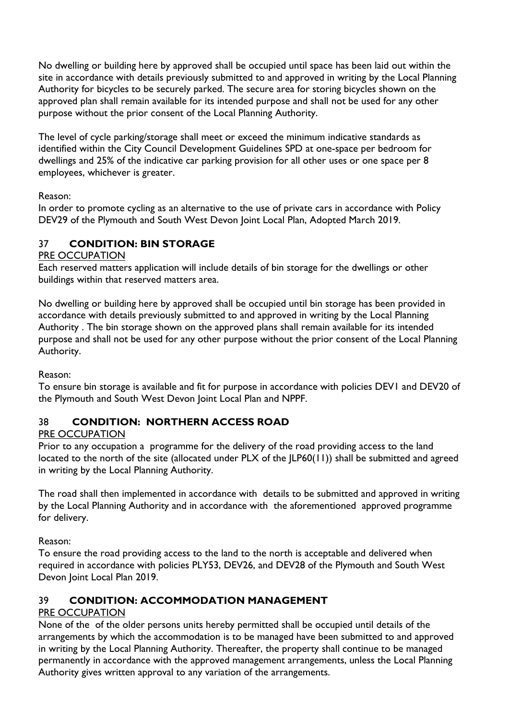No dwelling or building here by approved shall be occupied until space has been laid out within the site in accordance with details previously submitted to and approved in writing by the Local Planning Authority for bicycles to be securely parked. The secure area for storing bicycles shown on the approved plan shall remain available for its intended purpose and shall not be used for any other purpose without the prior consent of the Local Planning Authority.

The level of cycle parking/storage shall meet or exceed the minimum indicative standards as identified within the City Council Development Guidelines SPD at one-space per bedroom for dwellings and 25% of the indicative car parking provision for all other uses or one space per 8 employees, whichever is greater.

#### Reason:

In order to promote cycling as an alternative to the use of private cars in accordance with Policy DEV29 of the Plymouth and South West Devon Joint Local Plan, Adopted March 2019.

## 37 **CONDITION: BIN STORAGE**

#### PRE OCCUPATION

Each reserved matters application will include details of bin storage for the dwellings or other buildings within that reserved matters area.

No dwelling or building here by approved shall be occupied until bin storage has been provided in accordance with details previously submitted to and approved in writing by the Local Planning Authority . The bin storage shown on the approved plans shall remain available for its intended purpose and shall not be used for any other purpose without the prior consent of the Local Planning Authority.

Reason:

To ensure bin storage is available and fit for purpose in accordance with policies DEV1 and DEV20 of the Plymouth and South West Devon Joint Local Plan and NPPF.

#### 38 **CONDITION: NORTHERN ACCESS ROAD**

#### PRE OCCUPATION

Prior to any occupation a programme for the delivery of the road providing access to the land located to the north of the site (allocated under PLX of the JLP60(11)) shall be submitted and agreed in writing by the Local Planning Authority.

The road shall then implemented in accordance with details to be submitted and approved in writing by the Local Planning Authority and in accordance with the aforementioned approved programme for delivery.

Reason:

To ensure the road providing access to the land to the north is acceptable and delivered when required in accordance with policies PLY53, DEV26, and DEV28 of the Plymouth and South West Devon Joint Local Plan 2019.

#### 39 **CONDITION: ACCOMMODATION MANAGEMENT**

#### PRE OCCUPATION

None of the of the older persons units hereby permitted shall be occupied until details of the arrangements by which the accommodation is to be managed have been submitted to and approved in writing by the Local Planning Authority. Thereafter, the property shall continue to be managed permanently in accordance with the approved management arrangements, unless the Local Planning Authority gives written approval to any variation of the arrangements.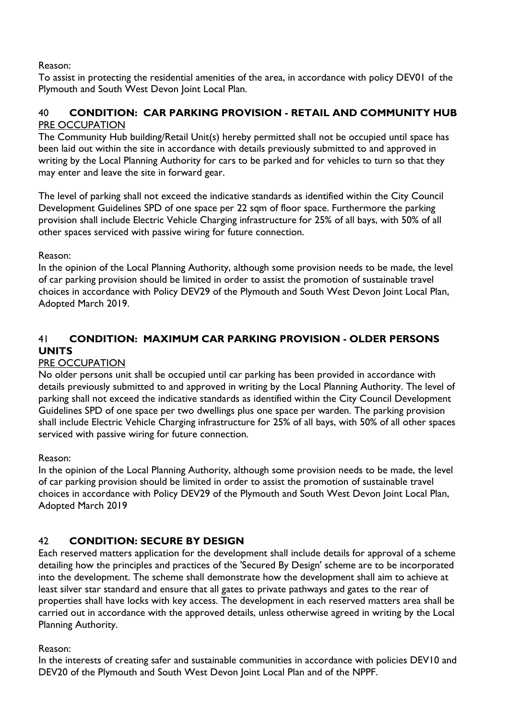Reason:

To assist in protecting the residential amenities of the area, in accordance with policy DEV01 of the Plymouth and South West Devon Joint Local Plan.

#### 40 **CONDITION: CAR PARKING PROVISION - RETAIL AND COMMUNITY HUB** PRE OCCUPATION

The Community Hub building/Retail Unit(s) hereby permitted shall not be occupied until space has been laid out within the site in accordance with details previously submitted to and approved in writing by the Local Planning Authority for cars to be parked and for vehicles to turn so that they may enter and leave the site in forward gear.

The level of parking shall not exceed the indicative standards as identified within the City Council Development Guidelines SPD of one space per 22 sqm of floor space. Furthermore the parking provision shall include Electric Vehicle Charging infrastructure for 25% of all bays, with 50% of all other spaces serviced with passive wiring for future connection.

Reason:

In the opinion of the Local Planning Authority, although some provision needs to be made, the level of car parking provision should be limited in order to assist the promotion of sustainable travel choices in accordance with Policy DEV29 of the Plymouth and South West Devon Joint Local Plan, Adopted March 2019.

## 41 **CONDITION: MAXIMUM CAR PARKING PROVISION - OLDER PERSONS UNITS**

#### PRE OCCUPATION

No older persons unit shall be occupied until car parking has been provided in accordance with details previously submitted to and approved in writing by the Local Planning Authority. The level of parking shall not exceed the indicative standards as identified within the City Council Development Guidelines SPD of one space per two dwellings plus one space per warden. The parking provision shall include Electric Vehicle Charging infrastructure for 25% of all bays, with 50% of all other spaces serviced with passive wiring for future connection.

Reason:

In the opinion of the Local Planning Authority, although some provision needs to be made, the level of car parking provision should be limited in order to assist the promotion of sustainable travel choices in accordance with Policy DEV29 of the Plymouth and South West Devon Joint Local Plan, Adopted March 2019

#### 42 **CONDITION: SECURE BY DESIGN**

Each reserved matters application for the development shall include details for approval of a scheme detailing how the principles and practices of the 'Secured By Design' scheme are to be incorporated into the development. The scheme shall demonstrate how the development shall aim to achieve at least silver star standard and ensure that all gates to private pathways and gates to the rear of properties shall have locks with key access. The development in each reserved matters area shall be carried out in accordance with the approved details, unless otherwise agreed in writing by the Local Planning Authority.

Reason:

In the interests of creating safer and sustainable communities in accordance with policies DEV10 and DEV20 of the Plymouth and South West Devon Joint Local Plan and of the NPPF.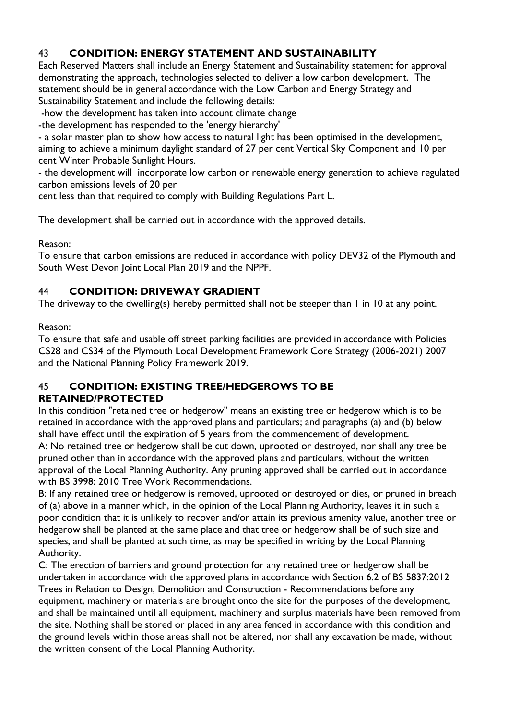## 43 **CONDITION: ENERGY STATEMENT AND SUSTAINABILITY**

Each Reserved Matters shall include an Energy Statement and Sustainability statement for approval demonstrating the approach, technologies selected to deliver a low carbon development. The statement should be in general accordance with the Low Carbon and Energy Strategy and Sustainability Statement and include the following details:

-how the development has taken into account climate change

-the development has responded to the 'energy hierarchy'

- a solar master plan to show how access to natural light has been optimised in the development, aiming to achieve a minimum daylight standard of 27 per cent Vertical Sky Component and 10 per cent Winter Probable Sunlight Hours.

- the development will incorporate low carbon or renewable energy generation to achieve regulated carbon emissions levels of 20 per

cent less than that required to comply with Building Regulations Part L.

The development shall be carried out in accordance with the approved details.

Reason:

To ensure that carbon emissions are reduced in accordance with policy DEV32 of the Plymouth and South West Devon Joint Local Plan 2019 and the NPPF.

#### 44 **CONDITION: DRIVEWAY GRADIENT**

The driveway to the dwelling(s) hereby permitted shall not be steeper than 1 in 10 at any point.

Reason:

To ensure that safe and usable off street parking facilities are provided in accordance with Policies CS28 and CS34 of the Plymouth Local Development Framework Core Strategy (2006-2021) 2007 and the National Planning Policy Framework 2019.

#### 45 **CONDITION: EXISTING TREE/HEDGEROWS TO BE RETAINED/PROTECTED**

In this condition "retained tree or hedgerow" means an existing tree or hedgerow which is to be retained in accordance with the approved plans and particulars; and paragraphs (a) and (b) below shall have effect until the expiration of 5 years from the commencement of development. A: No retained tree or hedgerow shall be cut down, uprooted or destroyed, nor shall any tree be pruned other than in accordance with the approved plans and particulars, without the written approval of the Local Planning Authority. Any pruning approved shall be carried out in accordance with BS 3998: 2010 Tree Work Recommendations.

B: If any retained tree or hedgerow is removed, uprooted or destroyed or dies, or pruned in breach of (a) above in a manner which, in the opinion of the Local Planning Authority, leaves it in such a poor condition that it is unlikely to recover and/or attain its previous amenity value, another tree or hedgerow shall be planted at the same place and that tree or hedgerow shall be of such size and species, and shall be planted at such time, as may be specified in writing by the Local Planning Authority.

C: The erection of barriers and ground protection for any retained tree or hedgerow shall be undertaken in accordance with the approved plans in accordance with Section 6.2 of BS 5837:2012 Trees in Relation to Design, Demolition and Construction - Recommendations before any equipment, machinery or materials are brought onto the site for the purposes of the development, and shall be maintained until all equipment, machinery and surplus materials have been removed from the site. Nothing shall be stored or placed in any area fenced in accordance with this condition and the ground levels within those areas shall not be altered, nor shall any excavation be made, without the written consent of the Local Planning Authority.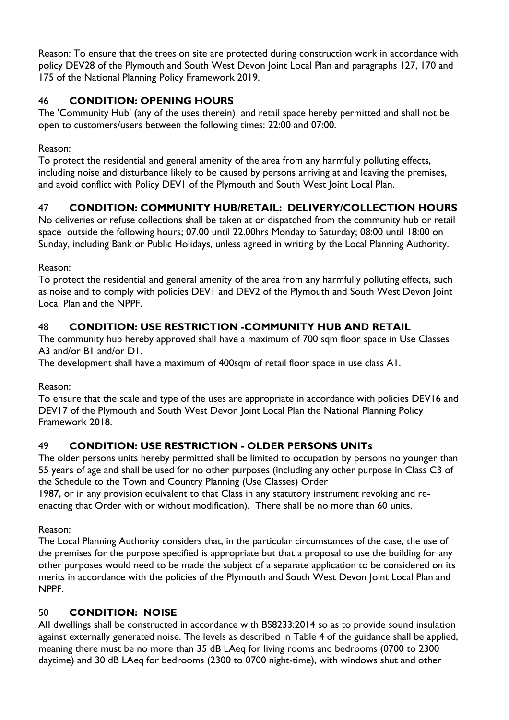Reason: To ensure that the trees on site are protected during construction work in accordance with policy DEV28 of the Plymouth and South West Devon Joint Local Plan and paragraphs 127, 170 and 175 of the National Planning Policy Framework 2019.

## 46 **CONDITION: OPENING HOURS**

The 'Community Hub' (any of the uses therein) and retail space hereby permitted and shall not be open to customers/users between the following times: 22:00 and 07:00.

#### Reason:

To protect the residential and general amenity of the area from any harmfully polluting effects, including noise and disturbance likely to be caused by persons arriving at and leaving the premises, and avoid conflict with Policy DEV1 of the Plymouth and South West Joint Local Plan.

## 47 **CONDITION: COMMUNITY HUB/RETAIL: DELIVERY/COLLECTION HOURS**

No deliveries or refuse collections shall be taken at or dispatched from the community hub or retail space outside the following hours; 07.00 until 22.00hrs Monday to Saturday; 08:00 until 18:00 on Sunday, including Bank or Public Holidays, unless agreed in writing by the Local Planning Authority.

Reason:

To protect the residential and general amenity of the area from any harmfully polluting effects, such as noise and to comply with policies DEV1 and DEV2 of the Plymouth and South West Devon Joint Local Plan and the NPPF.

## 48 **CONDITION: USE RESTRICTION -COMMUNITY HUB AND RETAIL**

The community hub hereby approved shall have a maximum of 700 sqm floor space in Use Classes A3 and/or B1 and/or D1.

The development shall have a maximum of 400sqm of retail floor space in use class A1.

Reason:

To ensure that the scale and type of the uses are appropriate in accordance with policies DEV16 and DEV17 of the Plymouth and South West Devon Joint Local Plan the National Planning Policy Framework 2018.

## 49 **CONDITION: USE RESTRICTION - OLDER PERSONS UNITs**

The older persons units hereby permitted shall be limited to occupation by persons no younger than 55 years of age and shall be used for no other purposes (including any other purpose in Class C3 of the Schedule to the Town and Country Planning (Use Classes) Order

1987, or in any provision equivalent to that Class in any statutory instrument revoking and reenacting that Order with or without modification). There shall be no more than 60 units.

Reason:

The Local Planning Authority considers that, in the particular circumstances of the case, the use of the premises for the purpose specified is appropriate but that a proposal to use the building for any other purposes would need to be made the subject of a separate application to be considered on its merits in accordance with the policies of the Plymouth and South West Devon Joint Local Plan and NPPF.

## 50 **CONDITION: NOISE**

AII dwellings shall be constructed in accordance with BS8233:2014 so as to provide sound insulation against externally generated noise. The levels as described in Table 4 of the guidance shall be applied, meaning there must be no more than 35 dB LAeq for living rooms and bedrooms (0700 to 2300 daytime) and 30 dB LAeq for bedrooms (2300 to 0700 night-time), with windows shut and other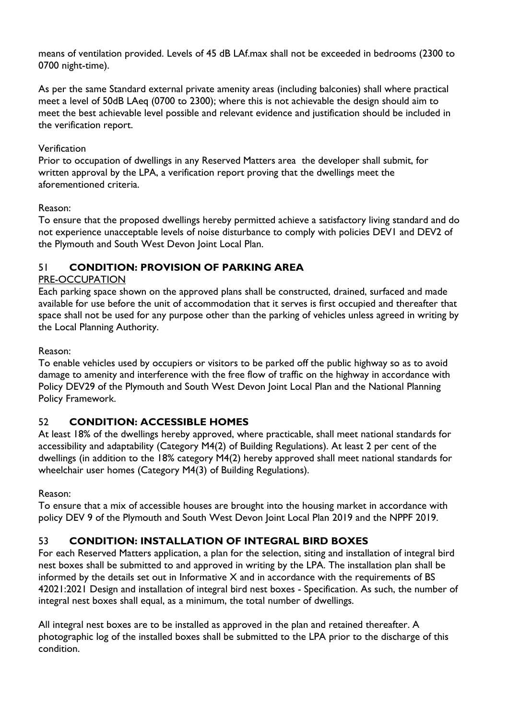means of ventilation provided. Levels of 45 dB LAf.max shall not be exceeded in bedrooms (2300 to 0700 night-time).

As per the same Standard external private amenity areas (including balconies) shall where practical meet a level of 50dB LAeq (0700 to 2300); where this is not achievable the design should aim to meet the best achievable level possible and relevant evidence and justification should be included in the verification report.

#### **Verification**

Prior to occupation of dwellings in any Reserved Matters area the developer shall submit, for written approval by the LPA, a verification report proving that the dwellings meet the aforementioned criteria.

#### Reason:

To ensure that the proposed dwellings hereby permitted achieve a satisfactory living standard and do not experience unacceptable levels of noise disturbance to comply with policies DEV1 and DEV2 of the Plymouth and South West Devon Joint Local Plan.

#### 51 **CONDITION: PROVISION OF PARKING AREA**

#### PRE-OCCUPATION

Each parking space shown on the approved plans shall be constructed, drained, surfaced and made available for use before the unit of accommodation that it serves is first occupied and thereafter that space shall not be used for any purpose other than the parking of vehicles unless agreed in writing by the Local Planning Authority.

#### Reason:

To enable vehicles used by occupiers or visitors to be parked off the public highway so as to avoid damage to amenity and interference with the free flow of traffic on the highway in accordance with Policy DEV29 of the Plymouth and South West Devon Joint Local Plan and the National Planning Policy Framework.

#### 52 **CONDITION: ACCESSIBLE HOMES**

At least 18% of the dwellings hereby approved, where practicable, shall meet national standards for accessibility and adaptability (Category M4(2) of Building Regulations). At least 2 per cent of the dwellings (in addition to the 18% category M4(2) hereby approved shall meet national standards for wheelchair user homes (Category M4(3) of Building Regulations).

#### Reason:

To ensure that a mix of accessible houses are brought into the housing market in accordance with policy DEV 9 of the Plymouth and South West Devon Joint Local Plan 2019 and the NPPF 2019.

#### 53 **CONDITION: INSTALLATION OF INTEGRAL BIRD BOXES**

For each Reserved Matters application, a plan for the selection, siting and installation of integral bird nest boxes shall be submitted to and approved in writing by the LPA. The installation plan shall be informed by the details set out in Informative X and in accordance with the requirements of BS 42021:2021 Design and installation of integral bird nest boxes - Specification. As such, the number of integral nest boxes shall equal, as a minimum, the total number of dwellings.

All integral nest boxes are to be installed as approved in the plan and retained thereafter. A photographic log of the installed boxes shall be submitted to the LPA prior to the discharge of this condition.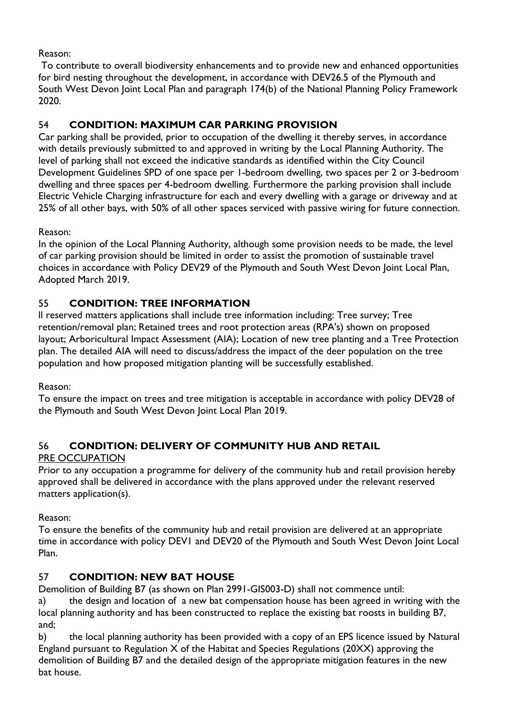Reason:

To contribute to overall biodiversity enhancements and to provide new and enhanced opportunities for bird nesting throughout the development, in accordance with DEV26.5 of the Plymouth and South West Devon Joint Local Plan and paragraph 174(b) of the National Planning Policy Framework 2020.

# 54 **CONDITION: MAXIMUM CAR PARKING PROVISION**

Car parking shall be provided, prior to occupation of the dwelling it thereby serves, in accordance with details previously submitted to and approved in writing by the Local Planning Authority. The level of parking shall not exceed the indicative standards as identified within the City Council Development Guidelines SPD of one space per 1-bedroom dwelling, two spaces per 2 or 3-bedroom dwelling and three spaces per 4-bedroom dwelling. Furthermore the parking provision shall include Electric Vehicle Charging infrastructure for each and every dwelling with a garage or driveway and at 25% of all other bays, with 50% of all other spaces serviced with passive wiring for future connection.

Reason:

In the opinion of the Local Planning Authority, although some provision needs to be made, the level of car parking provision should be limited in order to assist the promotion of sustainable travel choices in accordance with Policy DEV29 of the Plymouth and South West Devon Joint Local Plan, Adopted March 2019.

## 55 **CONDITION: TREE INFORMATION**

ll reserved matters applications shall include tree information including: Tree survey; Tree retention/removal plan; Retained trees and root protection areas (RPA's) shown on proposed layout; Arboricultural Impact Assessment (AIA); Location of new tree planting and a Tree Protection plan. The detailed AIA will need to discuss/address the impact of the deer population on the tree population and how proposed mitigation planting will be successfully established.

Reason:

To ensure the impact on trees and tree mitigation is acceptable in accordance with policy DEV28 of the Plymouth and South West Devon Joint Local Plan 2019.

# 56 **CONDITION: DELIVERY OF COMMUNITY HUB AND RETAIL**

#### PRE OCCUPATION

Prior to any occupation a programme for delivery of the community hub and retail provision hereby approved shall be delivered in accordance with the plans approved under the relevant reserved matters application(s).

#### Reason:

To ensure the benefits of the community hub and retail provision are delivered at an appropriate time in accordance with policy DEV1 and DEV20 of the Plymouth and South West Devon Joint Local Plan.

#### 57 **CONDITION: NEW BAT HOUSE**

Demolition of Building B7 (as shown on Plan 2991-GIS003-D) shall not commence until:

a) the design and location of a new bat compensation house has been agreed in writing with the local planning authority and has been constructed to replace the existing bat roosts in building B7, and;

b) the local planning authority has been provided with a copy of an EPS licence issued by Natural England pursuant to Regulation X of the Habitat and Species Regulations (20XX) approving the demolition of Building B7 and the detailed design of the appropriate mitigation features in the new bat house.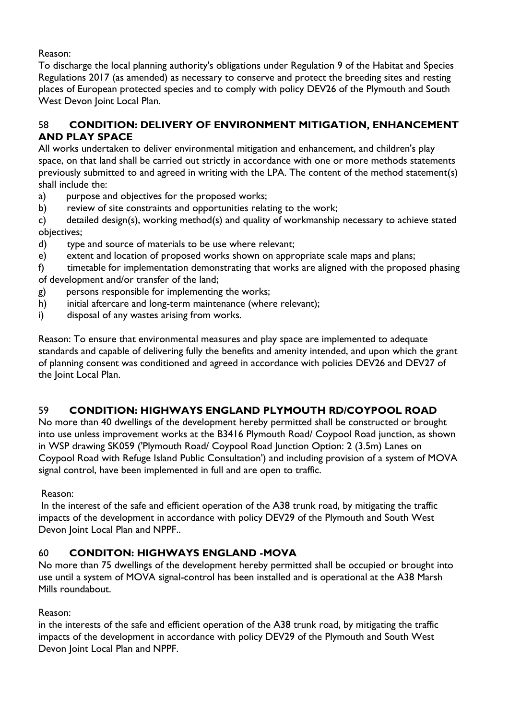Reason:

To discharge the local planning authority's obligations under Regulation 9 of the Habitat and Species Regulations 2017 (as amended) as necessary to conserve and protect the breeding sites and resting places of European protected species and to comply with policy DEV26 of the Plymouth and South West Devon Joint Local Plan.

## 58 **CONDITION: DELIVERY OF ENVIRONMENT MITIGATION, ENHANCEMENT AND PLAY SPACE**

All works undertaken to deliver environmental mitigation and enhancement, and children's play space, on that land shall be carried out strictly in accordance with one or more methods statements previously submitted to and agreed in writing with the LPA. The content of the method statement(s) shall include the:

- a) purpose and objectives for the proposed works;
- b) review of site constraints and opportunities relating to the work;
- c) detailed design(s), working method(s) and quality of workmanship necessary to achieve stated objectives;
- d) type and source of materials to be use where relevant;
- e) extent and location of proposed works shown on appropriate scale maps and plans;

f) timetable for implementation demonstrating that works are aligned with the proposed phasing of development and/or transfer of the land;

- g) persons responsible for implementing the works;
- h) initial aftercare and long-term maintenance (where relevant);
- i) disposal of any wastes arising from works.

Reason: To ensure that environmental measures and play space are implemented to adequate standards and capable of delivering fully the benefits and amenity intended, and upon which the grant of planning consent was conditioned and agreed in accordance with policies DEV26 and DEV27 of the Joint Local Plan.

## 59 **CONDITION: HIGHWAYS ENGLAND PLYMOUTH RD/COYPOOL ROAD**

No more than 40 dwellings of the development hereby permitted shall be constructed or brought into use unless improvement works at the B3416 Plymouth Road/ Coypool Road junction, as shown in WSP drawing SK059 ('Plymouth Road/ Coypool Road Junction Option: 2 (3.5m) Lanes on Coypool Road with Refuge Island Public Consultation') and including provision of a system of MOVA signal control, have been implemented in full and are open to traffic.

#### Reason:

In the interest of the safe and efficient operation of the A38 trunk road, by mitigating the traffic impacts of the development in accordance with policy DEV29 of the Plymouth and South West Devon Joint Local Plan and NPPF..

#### 60 **CONDITON: HIGHWAYS ENGLAND -MOVA**

No more than 75 dwellings of the development hereby permitted shall be occupied or brought into use until a system of MOVA signal-control has been installed and is operational at the A38 Marsh Mills roundabout.

#### Reason:

in the interests of the safe and efficient operation of the A38 trunk road, by mitigating the traffic impacts of the development in accordance with policy DEV29 of the Plymouth and South West Devon Joint Local Plan and NPPF.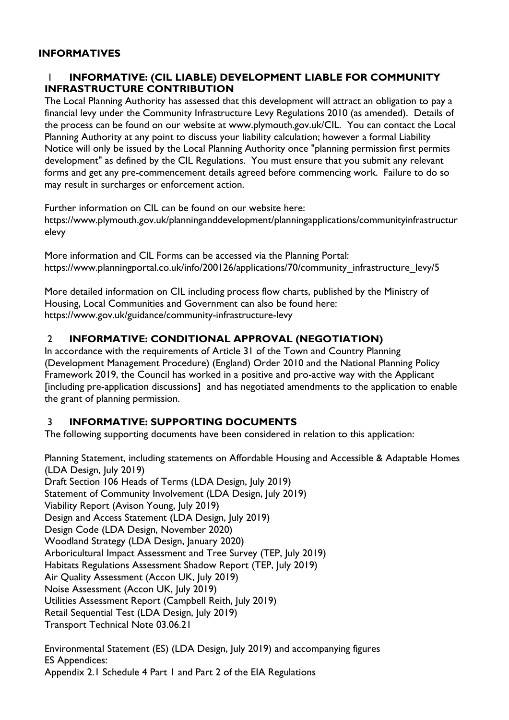#### **INFORMATIVES**

#### 1 **INFORMATIVE: (CIL LIABLE) DEVELOPMENT LIABLE FOR COMMUNITY INFRASTRUCTURE CONTRIBUTION**

The Local Planning Authority has assessed that this development will attract an obligation to pay a financial levy under the Community Infrastructure Levy Regulations 2010 (as amended). Details of the process can be found on our website at www.plymouth.gov.uk/CIL. You can contact the Local Planning Authority at any point to discuss your liability calculation; however a formal Liability Notice will only be issued by the Local Planning Authority once "planning permission first permits development" as defined by the CIL Regulations. You must ensure that you submit any relevant forms and get any pre-commencement details agreed before commencing work. Failure to do so may result in surcharges or enforcement action.

Further information on CIL can be found on our website here:

https://www.plymouth.gov.uk/planninganddevelopment/planningapplications/communityinfrastructur elevy

More information and CIL Forms can be accessed via the Planning Portal: https://www.planningportal.co.uk/info/200126/applications/70/community\_infrastructure\_levy/5

More detailed information on CIL including process flow charts, published by the Ministry of Housing, Local Communities and Government can also be found here: https://www.gov.uk/guidance/community-infrastructure-levy

#### 2 **INFORMATIVE: CONDITIONAL APPROVAL (NEGOTIATION)**

In accordance with the requirements of Article 31 of the Town and Country Planning (Development Management Procedure) (England) Order 2010 and the National Planning Policy Framework 2019, the Council has worked in a positive and pro-active way with the Applicant [including pre-application discussions] and has negotiated amendments to the application to enable the grant of planning permission.

#### 3 **INFORMATIVE: SUPPORTING DOCUMENTS**

The following supporting documents have been considered in relation to this application:

Planning Statement, including statements on Affordable Housing and Accessible & Adaptable Homes (LDA Design, July 2019) Draft Section 106 Heads of Terms (LDA Design, July 2019) Statement of Community Involvement (LDA Design, July 2019) Viability Report (Avison Young, July 2019) Design and Access Statement (LDA Design, July 2019) Design Code (LDA Design, November 2020) Woodland Strategy (LDA Design, January 2020) Arboricultural Impact Assessment and Tree Survey (TEP, July 2019) Habitats Regulations Assessment Shadow Report (TEP, July 2019) Air Quality Assessment (Accon UK, July 2019) Noise Assessment (Accon UK, July 2019) Utilities Assessment Report (Campbell Reith, July 2019) Retail Sequential Test (LDA Design, July 2019) Transport Technical Note 03.06.21

Environmental Statement (ES) (LDA Design, July 2019) and accompanying figures ES Appendices: Appendix 2.1 Schedule 4 Part 1 and Part 2 of the EIA Regulations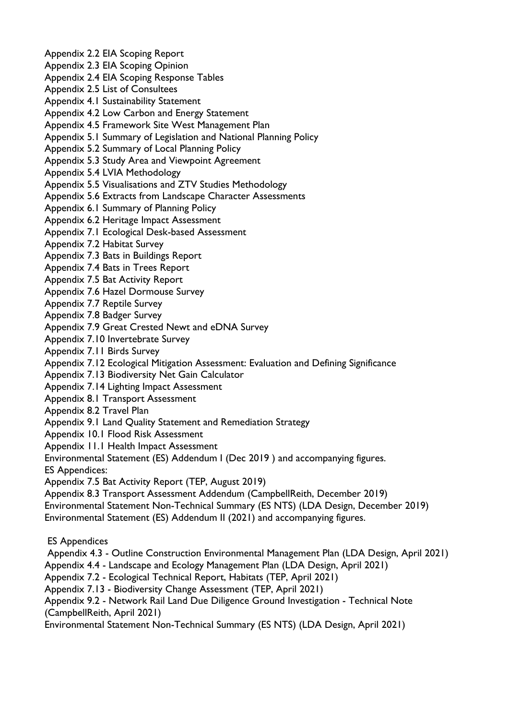Appendix 2.2 EIA Scoping Report Appendix 2.3 EIA Scoping Opinion Appendix 2.4 EIA Scoping Response Tables Appendix 2.5 List of Consultees Appendix 4.1 Sustainability Statement Appendix 4.2 Low Carbon and Energy Statement Appendix 4.5 Framework Site West Management Plan Appendix 5.1 Summary of Legislation and National Planning Policy Appendix 5.2 Summary of Local Planning Policy Appendix 5.3 Study Area and Viewpoint Agreement Appendix 5.4 LVIA Methodology Appendix 5.5 Visualisations and ZTV Studies Methodology Appendix 5.6 Extracts from Landscape Character Assessments Appendix 6.1 Summary of Planning Policy Appendix 6.2 Heritage Impact Assessment Appendix 7.1 Ecological Desk-based Assessment Appendix 7.2 Habitat Survey Appendix 7.3 Bats in Buildings Report Appendix 7.4 Bats in Trees Report Appendix 7.5 Bat Activity Report Appendix 7.6 Hazel Dormouse Survey Appendix 7.7 Reptile Survey Appendix 7.8 Badger Survey Appendix 7.9 Great Crested Newt and eDNA Survey Appendix 7.10 Invertebrate Survey Appendix 7.11 Birds Survey Appendix 7.12 Ecological Mitigation Assessment: Evaluation and Defining Significance Appendix 7.13 Biodiversity Net Gain Calculator Appendix 7.14 Lighting Impact Assessment Appendix 8.1 Transport Assessment

Appendix 8.2 Travel Plan

Appendix 9.1 Land Quality Statement and Remediation Strategy

Appendix 10.1 Flood Risk Assessment

Appendix 11.1 Health Impact Assessment

Environmental Statement (ES) Addendum I (Dec 2019 ) and accompanying figures.

ES Appendices:

Appendix 7.5 Bat Activity Report (TEP, August 2019)

Appendix 8.3 Transport Assessment Addendum (CampbellReith, December 2019)

Environmental Statement Non-Technical Summary (ES NTS) (LDA Design, December 2019)

Environmental Statement (ES) Addendum II (2021) and accompanying figures.

ES Appendices

Appendix 4.3 - Outline Construction Environmental Management Plan (LDA Design, April 2021)

Appendix 4.4 - Landscape and Ecology Management Plan (LDA Design, April 2021)

Appendix 7.2 - Ecological Technical Report, Habitats (TEP, April 2021)

Appendix 7.13 - Biodiversity Change Assessment (TEP, April 2021)

Appendix 9.2 - Network Rail Land Due Diligence Ground Investigation - Technical Note (CampbellReith, April 2021)

Environmental Statement Non-Technical Summary (ES NTS) (LDA Design, April 2021)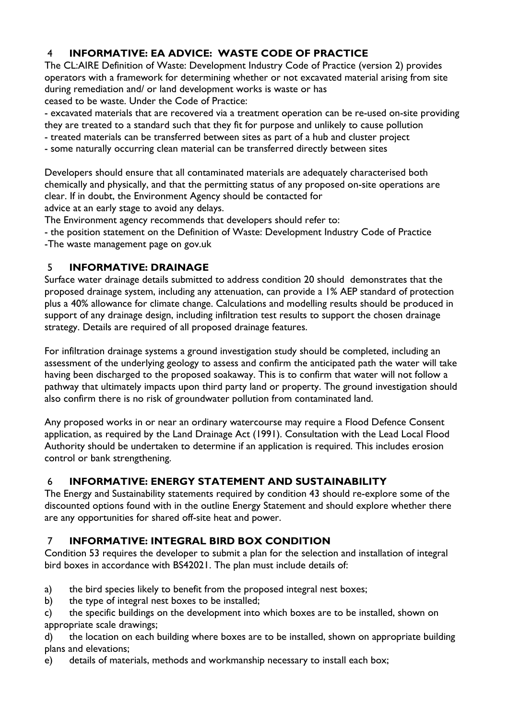## 4 **INFORMATIVE: EA ADVICE: WASTE CODE OF PRACTICE**

The CL:AIRE Definition of Waste: Development Industry Code of Practice (version 2) provides operators with a framework for determining whether or not excavated material arising from site during remediation and/ or land development works is waste or has ceased to be waste. Under the Code of Practice:

- excavated materials that are recovered via a treatment operation can be re-used on-site providing they are treated to a standard such that they fit for purpose and unlikely to cause pollution

- treated materials can be transferred between sites as part of a hub and cluster project
- some naturally occurring clean material can be transferred directly between sites

Developers should ensure that all contaminated materials are adequately characterised both chemically and physically, and that the permitting status of any proposed on-site operations are clear. If in doubt, the Environment Agency should be contacted for advice at an early stage to avoid any delays.

The Environment agency recommends that developers should refer to:

- the position statement on the Definition of Waste: Development Industry Code of Practice -The waste management page on gov.uk

#### 5 **INFORMATIVE: DRAINAGE**

Surface water drainage details submitted to address condition 20 should demonstrates that the proposed drainage system, including any attenuation, can provide a 1% AEP standard of protection plus a 40% allowance for climate change. Calculations and modelling results should be produced in support of any drainage design, including infiltration test results to support the chosen drainage strategy. Details are required of all proposed drainage features.

For infiltration drainage systems a ground investigation study should be completed, including an assessment of the underlying geology to assess and confirm the anticipated path the water will take having been discharged to the proposed soakaway. This is to confirm that water will not follow a pathway that ultimately impacts upon third party land or property. The ground investigation should also confirm there is no risk of groundwater pollution from contaminated land.

Any proposed works in or near an ordinary watercourse may require a Flood Defence Consent application, as required by the Land Drainage Act (1991). Consultation with the Lead Local Flood Authority should be undertaken to determine if an application is required. This includes erosion control or bank strengthening.

#### 6 **INFORMATIVE: ENERGY STATEMENT AND SUSTAINABILITY**

The Energy and Sustainability statements required by condition 43 should re-explore some of the discounted options found with in the outline Energy Statement and should explore whether there are any opportunities for shared off-site heat and power.

#### 7 **INFORMATIVE: INTEGRAL BIRD BOX CONDITION**

Condition 53 requires the developer to submit a plan for the selection and installation of integral bird boxes in accordance with BS42021. The plan must include details of:

- a) the bird species likely to benefit from the proposed integral nest boxes;
- b) the type of integral nest boxes to be installed;

c) the specific buildings on the development into which boxes are to be installed, shown on appropriate scale drawings;

d) the location on each building where boxes are to be installed, shown on appropriate building plans and elevations;

e) details of materials, methods and workmanship necessary to install each box;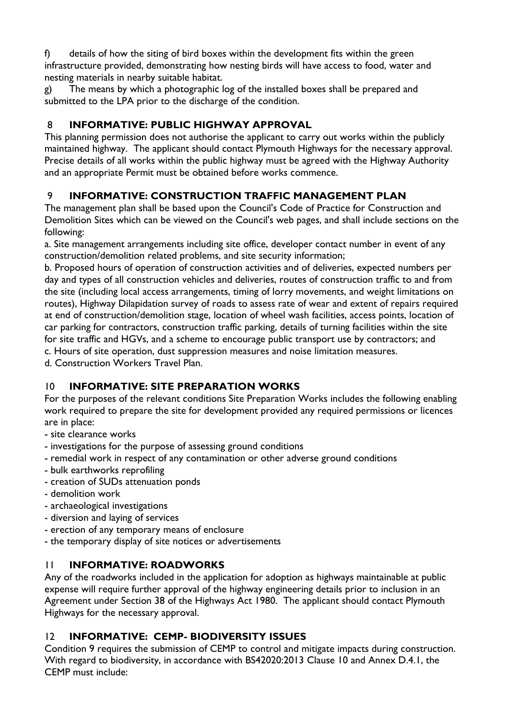f) details of how the siting of bird boxes within the development fits within the green infrastructure provided, demonstrating how nesting birds will have access to food, water and nesting materials in nearby suitable habitat.

g) The means by which a photographic log of the installed boxes shall be prepared and submitted to the LPA prior to the discharge of the condition.

## 8 **INFORMATIVE: PUBLIC HIGHWAY APPROVAL**

This planning permission does not authorise the applicant to carry out works within the publicly maintained highway. The applicant should contact Plymouth Highways for the necessary approval. Precise details of all works within the public highway must be agreed with the Highway Authority and an appropriate Permit must be obtained before works commence.

# 9 **INFORMATIVE: CONSTRUCTION TRAFFIC MANAGEMENT PLAN**

The management plan shall be based upon the Council's Code of Practice for Construction and Demolition Sites which can be viewed on the Council's web pages, and shall include sections on the following:

a. Site management arrangements including site office, developer contact number in event of any construction/demolition related problems, and site security information;

b. Proposed hours of operation of construction activities and of deliveries, expected numbers per day and types of all construction vehicles and deliveries, routes of construction traffic to and from the site (including local access arrangements, timing of lorry movements, and weight limitations on routes), Highway Dilapidation survey of roads to assess rate of wear and extent of repairs required at end of construction/demolition stage, location of wheel wash facilities, access points, location of car parking for contractors, construction traffic parking, details of turning facilities within the site for site traffic and HGVs, and a scheme to encourage public transport use by contractors; and c. Hours of site operation, dust suppression measures and noise limitation measures.

d. Construction Workers Travel Plan.

## 10 **INFORMATIVE: SITE PREPARATION WORKS**

For the purposes of the relevant conditions Site Preparation Works includes the following enabling work required to prepare the site for development provided any required permissions or licences are in place:

- site clearance works
- investigations for the purpose of assessing ground conditions
- remedial work in respect of any contamination or other adverse ground conditions
- bulk earthworks reprofiling
- creation of SUDs attenuation ponds
- demolition work
- archaeological investigations
- diversion and laying of services
- erection of any temporary means of enclosure
- the temporary display of site notices or advertisements

#### 11 **INFORMATIVE: ROADWORKS**

Any of the roadworks included in the application for adoption as highways maintainable at public expense will require further approval of the highway engineering details prior to inclusion in an Agreement under Section 38 of the Highways Act 1980. The applicant should contact Plymouth Highways for the necessary approval.

#### 12 **INFORMATIVE: CEMP- BIODIVERSITY ISSUES**

Condition 9 requires the submission of CEMP to control and mitigate impacts during construction. With regard to biodiversity, in accordance with BS42020:2013 Clause 10 and Annex D.4.1, the CEMP must include: